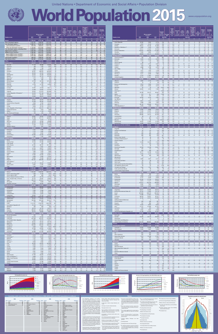| <b>Country or area</b>                                                                          | 2015<br>(1)                         | <b>Mid-year population</b><br>(thousands)<br>2050<br>(2) | 2100<br>(3)                               | <b>Population</b><br>Percentage<br>urban<br>per sq km)<br><b>Mid-2015</b> | Average<br>annual<br>rate of<br>change<br>(percent-<br>age) | trude birti<br>eath rate<br>rate<br>(deaths<br>per 1,000<br>per 1,000<br>oopulation)<br>(7) | ertility<br>per<br>woman)<br>2010-2015 | <b>Percentage</b><br>of births<br>to women<br>under age<br>20 among<br>births to<br>expectancy<br>women<br>at birth<br>aged 15-49<br>(years)<br>(10) | <b>Under-five</b><br>mortality<br>(deaths<br>under age<br>5 per 1,000<br>live births)<br>(11) | <b>Percentage</b><br>of population<br>$\frac{1}{2}$ age 15 $\frac{1}{2}$ or over<br><b>Mid-2015</b><br>$(12)$ $(13)$ $(14)$ | <b>Country or area</b>                                                                           | 2015<br>(1)                   | <b>Mid-year population</b><br>(thousands)<br>2050<br>(2) | 2100                         | Population<br>density<br><b>Percentage</b><br>urban<br>per sq km)<br><b>Mid-2015</b> | Average<br>annual<br>rate of<br>percent-<br>age) | (deaths<br>per 1.000<br>per 1.000<br>opulation) | ertilitv<br>woman)<br>2010-2015        | Percentage<br>of births<br>to women<br>under age<br>20 amond<br>births to<br>women<br>aged 15-49<br>(10) | <b>Under-five</b><br>mortality<br>(deaths<br><b>Life</b><br>expectancy<br>under age<br>at birth<br>5 per 1,000<br>(years)<br>live births)<br>(11) | Percentage<br>of population<br>Under P<br>$\frac{1}{2}$ age 15 $\sqrt{ }$ or over<br>Mid-2015<br>$(12)$ $(13)$ $(14)$ |
|-------------------------------------------------------------------------------------------------|-------------------------------------|----------------------------------------------------------|-------------------------------------------|---------------------------------------------------------------------------|-------------------------------------------------------------|---------------------------------------------------------------------------------------------|----------------------------------------|------------------------------------------------------------------------------------------------------------------------------------------------------|-----------------------------------------------------------------------------------------------|-----------------------------------------------------------------------------------------------------------------------------|--------------------------------------------------------------------------------------------------|-------------------------------|----------------------------------------------------------|------------------------------|--------------------------------------------------------------------------------------|--------------------------------------------------|-------------------------------------------------|----------------------------------------|----------------------------------------------------------------------------------------------------------|---------------------------------------------------------------------------------------------------------------------------------------------------|-----------------------------------------------------------------------------------------------------------------------|
| World<br>More developed regions a                                                               | 7 349 472<br>1 251 351              | 9 725 148<br>1 286 422                                   | 11 213 317<br>1 277 379                   | 56<br>25<br>78                                                            | 0.3                                                         | 11                                                                                          | 2.5<br>10<br>1.7                       |                                                                                                                                                      | 50<br>78                                                                                      | <b>26</b><br>24<br>16                                                                                                       | <b>Eastern Europe (continued)</b><br>Czech Republic                                              | 10 543<br>9 8 5 5             | 9 9 6 5                                                  | 8 7 7 4                      | 136<br>73<br>71                                                                      | 0.1                                              |                                                 | 10<br>1.5<br>13                        |                                                                                                          |                                                                                                                                                   | 25<br>15                                                                                                              |
| Less developed regions b<br>Least developed countries<br>Other less developed countries of      | 6 098 121<br>954 158<br>5 143 963   | 8 438 726<br>1896921<br>6 541 805                        | 9 9 3 5 9 3 8<br>3 167 116<br>6 7 68 8 22 | 75<br>49<br>47<br>31<br>85<br>52                                          | 1.4<br>2.4<br>1.2                                           | 21<br>19                                                                                    | 2.6<br>4.3<br>2.4                      | 10 <sup>°</sup><br>15                                                                                                                                | 69<br>54<br>62<br>86<br>70<br>45                                                              | 28<br>10<br>40<br>26<br>11                                                                                                  | Hungary<br>Poland<br>Republic of Moldova 13                                                      | 38 612<br>4 0 6 9             | 8 3 1 8<br>33 136<br>3 2 4 3                             | 6 5 0 6<br>22 289<br>1856    | 109<br>126<br>124<br>-45                                                             | $-0.3$<br>0.0<br>$-0.1$                          |                                                 | 1.3<br>1.4<br>1.3                      |                                                                                                          |                                                                                                                                                   | 15 <sub>1</sub><br>25<br>15<br>23<br>16                                                                               |
| Less developed regions, excluding China<br>High-income countries e<br>Middle-income countries e | 4 690 815<br>1 401 479<br>5 306 283 | 7 060 907<br>1 512 496<br>6 822 476                      | 8 9 10 0 82<br>1 512 091<br>7 224 894     | 66<br>47<br>25<br>80<br>87<br>51                                          | 1.6<br>0.5<br>$1.2$                                         | 24<br>12<br>20                                                                              | 3.0<br>1.7<br>2.4                      | 11                                                                                                                                                   | 67<br>61<br>79<br>70                                                                          | 22<br>26<br>11                                                                                                              | Romania<br><b>Russian Federation</b><br>Slovakia                                                 | 19 511<br>143 457<br>5426     | 15 207<br>128 599<br>4 8 9 2                             | 10 700<br>117 445<br>3732    | 85<br>55<br>54<br>113                                                                | $-0.8$<br>0.0<br>0.1                             |                                                 | 1.5<br>1.7 <sup>2</sup><br>1.4         |                                                                                                          | 13<br>10                                                                                                                                          | 16<br>- 24<br>15<br>21                                                                                                |
| Upper-middle-income countries e<br>Lower-middle-income countries                                | 2 390 125<br>2 916 158              | 2 621 635<br>4 200 842                                   | 2 308 174<br>4 9 16 7 20                  | -58<br>63<br>148<br>40                                                    | 0.8<br>1.5                                                  | 24                                                                                          | 1.9<br>2.9                             | 10                                                                                                                                                   | 23<br>74<br>60<br>66                                                                          | 21<br>13<br>-31                                                                                                             | Ukraine 14<br>Northern Europe                                                                    | 44 824<br>102 358             | 35 117<br>117 563                                        | 26 400<br>128 679            | 77<br>70                                                                             | $-0.4$<br>0.5                                    |                                                 | 1.5                                    |                                                                                                          | 11                                                                                                                                                | 15<br>- 23                                                                                                            |
| Low-income countries<br>Sub-Saharan Africa<br>Africa                                            | 638 735<br>962 287<br>1 186 178     | 1 386 201<br>2 123 232<br>2 477 536                      | 2 471 875<br>3 9 3 4 8 2 8<br>4 386 591   | 46<br>31<br>38<br>44<br>40                                                | 2.7<br>2.7<br>2.6                                           | 38                                                                                          | 4.9<br>5.1<br>4.7                      | 15<br>15                                                                                                                                             | 60<br>91<br>99<br>57<br>90                                                                    | 43<br>43<br>- 41                                                                                                            | Channel Islands 15<br>Denmark<br>Estonia                                                         | 164<br>5 6 6 9<br>1 3 1 3     | 181<br>6 2 9 9<br>1 1 2 9                                | 182<br>6838<br>904           | 862<br>31<br>134<br>88<br>68<br>31                                                   | 0.5<br>0.4<br>$-0.3$                             |                                                 | $1.5\,$<br>1.7 <sup>2</sup><br>1.6     |                                                                                                          | 80<br>80                                                                                                                                          | 24<br>15<br>17<br>25<br>16<br>-25                                                                                     |
| <b>Eastern Africa</b><br>Burundi                                                                | 394 477<br>11 179                   | 878 236<br>28 6 68                                       | 1 576 955<br>62 662                       | 59<br>435                                                                 | 2.8<br>3.3                                                  |                                                                                             | 4.9                                    |                                                                                                                                                      | -79-<br>123                                                                                   | $-43$<br>45                                                                                                                 | Faeroe Islands<br>Finland <sup>16</sup><br>Iceland                                               | 48<br>5 5 0 3<br>329          | 52<br>5752<br>389                                        | 52<br>5 8 5 7<br>384         | -42<br>35<br>84<br>18                                                                | $-0.2$<br>0.5                                    |                                                 | 2.0                                    |                                                                                                          |                                                                                                                                                   | 27<br>16                                                                                                              |
| Comoros<br>Djibouti<br>Eritrea                                                                  | 788<br>888<br>5 2 2 8               | 1 5 0 2<br>1 1 8 6<br>10 4 21                            | 2 3 0 7<br>1 1 2 6<br>15 6 16             | 424<br>28<br>38<br>77<br>52<br>23                                         | 2.4<br>1.3<br>2.2                                           | 26<br>35                                                                                    | 3.3<br>4.4                             |                                                                                                                                                      | 78<br>83<br>62<br>60<br>63                                                                    | 40<br>33<br>43                                                                                                              | Ireland<br>Isle of Man<br>Latvia                                                                 | 4 6 8 8<br>88<br>1971         | 5 7 8 9<br>104<br>1 5 9 3                                | 6 3 7 2<br>114<br>1 2 7 8    | 68<br>63<br>154<br>52<br>32<br>67                                                    | 0.3<br>0.8<br>$-1.2$                             |                                                 | 1.5                                    |                                                                                                          |                                                                                                                                                   | 22<br>15 <sup>2</sup>                                                                                                 |
| Ethiopia<br>Kenya<br>Madagascar                                                                 | 99 391<br>46 050<br>24 2 35         | 188 455<br>95 505<br>55 294                              | 242 644<br>156 856<br>105 499             | 99<br>19<br>81<br>26<br>42<br>35                                          | 2.5<br>2.7<br>2.8                                           |                                                                                             | 4.6<br>4.4<br>4.5                      | 20                                                                                                                                                   | 63<br>74<br>78<br>65<br>55                                                                    | 41<br>42<br>42                                                                                                              | Lithuania<br>Norway <sup>17</sup>                                                                | 2 8 7 8<br>5 2 1 1<br>9 7 7 9 | 2 3 7 5<br>6 6 5 8<br>11 881                             | 2 0 1 3<br>7845<br>14 470    | 46<br>80                                                                             | 1.3                                              |                                                 |                                        |                                                                                                          |                                                                                                                                                   | 15<br>18<br>-22                                                                                                       |
| Malawi<br>Mauritius<br>Mayotte                                                                  | 17 215<br>1 2 7 3<br>240            | 43 155<br>1 2 4 9<br>497                                 | 87 056<br>952<br>752                      | 183<br>627<br>40<br>640<br>47                                             | 3.1<br>0.4<br>2.8                                           |                                                                                             | 5.3<br>1.5<br>4.1                      | 20<br>10<br>10                                                                                                                                       | 77<br>14                                                                                      | 45<br>42                                                                                                                    | Sweden<br><b>United Kingdom</b><br><b>Southern Europe</b>                                        | 64 716<br>152 348             | 75 361<br>141 941                                        | 82 370<br>118 491            | 267<br>118                                                                           | $-0.1$                                           |                                                 |                                        |                                                                                                          |                                                                                                                                                   | 18<br>23<br>15                                                                                                        |
| Mozambique<br>Réunion<br>Rwanda                                                                 | 27 978<br>861<br>11 610             | 65 544<br>989<br>21 187                                  | 127 648<br>870<br>25 692                  | 32<br>344<br>95<br>471                                                    | 2.8<br>0.7<br>2.4                                           | 40<br>1C                                                                                    | 5.5<br>2.2                             | 21<br>1 <sub>0</sub>                                                                                                                                 | 99<br>55<br>$\circ$<br><b>C</b><br>73                                                         | 45<br>24<br>15                                                                                                              | Albania<br>Andorra<br>Bosnia and Herzegovina                                                     | 2 8 9 7<br>70<br>3 8 1 0      | 2 7 1 0<br>72<br>3 0 6 9                                 | 1755<br>60<br>1919           | 106<br>57<br>150<br>85<br>-40                                                        | 0.0<br>$-3.6$<br>$-0.$                           |                                                 | 1.8<br>1.3                             |                                                                                                          | 77<br>16                                                                                                                                          | 19<br>18<br>13<br>22                                                                                                  |
| Seychelles<br>Somalia                                                                           | 96<br>10 787                        | 100<br>27 030                                            | 81<br>58 311                              | 210<br>17                                                                 | 0.7<br>2.4                                                  |                                                                                             | 6.6                                    |                                                                                                                                                      | 13<br>131<br>55                                                                               | 23<br>11<br>47                                                                                                              | Croatia<br>Gibraltar<br>Greece                                                                   | 4 2 4 0<br>32<br>10 955       | 3 5 5 4<br>32<br>9 7 0 5                                 | 2 6 1 5<br>28<br>7 3 9 3     | 76<br>59<br>3 2 2 2<br>100<br>78<br>85                                               | $-0.4$<br>0.9<br>$-0.4$                          |                                                 |                                        |                                                                                                          |                                                                                                                                                   | 15<br>26<br>27                                                                                                        |
| South Sudan<br>Uganda<br>United Republic of Tanzania 2                                          | 12 340<br>39 0 32<br>53 470         | 25 8 55<br>101 873<br>137 136                            | 41 7 52<br>202 868<br>299 133             | 20<br>195<br>60                                                           | 3.3<br>3.2                                                  |                                                                                             | 5.2<br>5.9<br>5.2                      |                                                                                                                                                      | 122<br>55<br>93<br>51                                                                         | 42<br>48<br>45                                                                                                              | Holy See 18<br>Italy                                                                             | 59 798                        | 56 513                                                   | 49 647                       | 1818<br>100<br>203<br>69                                                             | 0.0<br>$\overline{0}$ .                          |                                                 |                                        |                                                                                                          |                                                                                                                                                   | 15 <sup>2</sup><br>14<br>29                                                                                           |
| Zambia<br>Zimbabwe<br>Middle Africa                                                             | 16 212<br>15 603<br>151 952         | 42 975<br>29 6 15<br>369 090                             | 104 869<br>40 263<br>721 296              | 22<br>40<br>32<br>23 <sup>°</sup>                                         | 3.1<br>2.2                                                  |                                                                                             | 5.5<br>4.0                             |                                                                                                                                                      | 83<br>72<br>55<br>126                                                                         | 46<br>42<br>-45 -                                                                                                           | Malta<br>Montenegro<br>Portugal                                                                  | 419<br>626<br>10 3 50         | 411<br>574<br>9 2 1 6                                    | 348<br>437<br>7 4 0 7        | 1 3 0 8<br>47<br>113<br>63                                                           | 0.3<br>$-0.4$                                    |                                                 | 1.3 <sup>2</sup>                       |                                                                                                          |                                                                                                                                                   | 14<br>19<br>- 20<br>14<br>27                                                                                          |
| Angola<br>Cameroon                                                                              | 25 0 22<br>23 344                   | 65 473<br>48 3 62                                        | 138 738<br>82 382                         | 20<br>49                                                                  | 3.3<br>2.5                                                  |                                                                                             | 6.2<br>4.8                             | 20                                                                                                                                                   | 156<br>52<br>115<br>55                                                                        | 48<br>43                                                                                                                    | San Marino<br>Serbia 19<br>Slovenia                                                              | 32<br>8 8 5 1<br>2 0 6 8      | 33<br>7 3 3 1<br>1 9 4 2                                 | 30<br>5 3 3 4<br>1 6 9 3     | 530<br>101<br>56<br>103<br>50                                                        | 0.7<br>$-0.5$                                    |                                                 | 1.6                                    |                                                                                                          | $\cdots$<br>12                                                                                                                                    | 16<br>- 24<br>15<br>-25                                                                                               |
| Central African Republic<br>Chad<br>Congo                                                       | 4 9 0 0<br>14 0 37<br>4 6 20        | 8782<br>35 131<br>10732                                  | 12 5 15<br>68 927<br>22 015               | 40<br>22<br>65                                                            | 2.0<br>3.3<br>2.6                                           |                                                                                             | 4.4<br>6.3<br>5.0                      |                                                                                                                                                      | 151<br>155<br>75                                                                              | 39<br>48<br>43                                                                                                              | Spain 20<br>TFYR Macedonia <sup>21</sup>                                                         | 46 122<br>2 0 7 8             | 44 840<br>1938                                           | 38 337<br>1 4 8 7            | 92<br>80<br>82                                                                       | $-0.2$                                           |                                                 | 1.3 <sup>2</sup>                       |                                                                                                          | 11                                                                                                                                                | 15<br>- 24<br>17                                                                                                      |
| Dem. Republic of the Congo<br><b>Equatorial Guinea</b><br>Gabon                                 | 77 267<br>845<br>1725               | 195 277<br>1816<br>3 1 6 4                               | 388 733<br>2 9 8 4<br>4 4 6 6             |                                                                           | 3.2<br>2.2                                                  |                                                                                             | 6.2<br>5.0<br>4. <sub>C</sub>          |                                                                                                                                                      | 115<br>109<br>62                                                                              | 46<br>39<br>37                                                                                                              | <b>Western Europe</b><br>Austria<br>Belgium                                                      | 190 794<br>8 5 4 5<br>11 299  | 195 533<br>8 8 4 6<br>12 5 27                            | 190 384<br>8 3 3 5<br>13 210 | 176<br>104<br>373<br>98                                                              | 0.4                                              |                                                 | 1.7                                    |                                                                                                          |                                                                                                                                                   | 15<br>24<br>14<br>17<br>-24                                                                                           |
| São Tomé and Príncipe<br>Northern Africa<br>Algeria                                             | 190<br>223 892<br>39 667            | 353<br>354 304<br>56 461                                 | 538<br>451 763<br>61 060                  | 198<br>65<br>17                                                           | 2.2<br>1.9                                                  | 25                                                                                          | 4.7<br>3.3<br>2.9                      |                                                                                                                                                      | 63<br>36                                                                                      | 43<br>32 <sub>2</sub><br>29                                                                                                 | France<br>Germany<br>Liechtenstein                                                               | 64 3 95<br>80 689<br>38       | 71 137<br>74 513<br>43                                   | 75 998<br>63 244             | 118<br>80<br>231<br>75<br>235                                                        | 0.5<br>0.1<br>0.7                                |                                                 | 2.0                                    |                                                                                                          |                                                                                                                                                   | 18<br>25<br>13<br>- 28                                                                                                |
| Egypt<br>Libya                                                                                  | 91 508<br>6 2 7 8                   | 151 111<br>8 3 7 5                                       | 200 802<br>8 1 4 4                        | 43<br>79                                                                  | 2.2<br>0.0                                                  | 29<br>22                                                                                    | 3.4<br>2.5                             |                                                                                                                                                      | 24<br>29                                                                                      | 33<br>30 <sub>o</sub>                                                                                                       | Luxembourg<br>Monaco                                                                             | 567<br>38                     | 803<br>44                                                | 1030<br>55                   | 219<br>-90<br>25 3 23<br>100                                                         | 2.2<br>0.5                                       |                                                 |                                        |                                                                                                          |                                                                                                                                                   | 16                                                                                                                    |
| Morocco<br>Sudan<br>Tunisia                                                                     | 34 378<br>40 235<br>11 2 54         | 43 696<br>80 284<br>13 4 76                              | 40 888<br>127 328<br>12 4 94              | 77<br>60<br>23<br>72                                                      | 2.2                                                         |                                                                                             | 2.6<br>2.2                             |                                                                                                                                                      | 32<br>20                                                                                      | 27<br>10<br>23                                                                                                              | Netherlands<br>Switzerland<br>Latin America and the Caribbean                                    | 16 9 25<br>8 2 9 9<br>634 387 | 17 602<br>10 019<br>784 247                              | 17 220<br>11 245<br>721 224  | 502<br>-90<br>210<br>-74<br>31<br>-80                                                | 0.4<br>1.1                                       |                                                 | 2.2                                    |                                                                                                          | 26<br>75                                                                                                                                          | 17<br>25<br>15<br>24<br>$26$ 11                                                                                       |
| Western Sahara<br><b>Southern Africa</b><br>Botswana                                            | 573<br>62 634<br>2 2 6 2            | 901<br>78 0 29<br>3 3 8 9                                | 1 0 4 7<br>80 737<br>3 6 8 1              | 57                                                                        | 2.2<br>1.2<br>2.0                                           |                                                                                             | 2.2<br>2.5<br>2.9                      |                                                                                                                                                      | 46<br>-52 I<br>40                                                                             | 26<br>32                                                                                                                    | Caribbean<br>Anguilla                                                                            | 43 199<br>15                  | 48 100<br>15                                             | 40 26 2                      | 162<br>100                                                                           | 0.7<br>1.2                                       |                                                 | 2.3                                    |                                                                                                          | 39<br>- 72                                                                                                                                        | 25 <sub>2</sub>                                                                                                       |
| Lesotho<br>Namibia<br>South Africa                                                              | 2 1 3 5<br>2 4 5 9<br>54 490        | 2 9 8 7<br>4 3 2 2<br>65 540                             | 3 5 4 8<br>5 7 3 0<br>65 696              | 4 <sub>7</sub><br>45<br>-65                                               | 1.2<br>2.3                                                  |                                                                                             | 3.3<br>2.4                             |                                                                                                                                                      | 82<br>50                                                                                      | 29                                                                                                                          | Antigua and Barbuda<br>Aruba<br><b>Bahamas</b>                                                   | 92<br>104<br>388              | 114<br>102<br>489                                        | 84<br>498                    | 209<br>-24<br>577<br>39<br>83                                                        | 1.0<br>1.5                                       |                                                 |                                        |                                                                                                          | 11<br>17<br>13                                                                                                                                    | 24<br>18<br>21<br>$-13$                                                                                               |
| Swaziland<br><b>Western Africa</b>                                                              | 1 2 8 7<br>353 224                  | 1792<br>797 877                                          | 2 0 8 2<br>1 555 840                      | 75                                                                        | 1.5<br>2.7                                                  | 30                                                                                          | 3.4<br>$-5.5$                          |                                                                                                                                                      | 92<br>49<br>111                                                                               | 37<br>44                                                                                                                    | Barbados<br><b>British Virgin Islands</b><br>Caribbean Netherlands <sup>22</sup>                 | 284<br>30<br>25               | 282<br>38<br>30                                          | 259<br>36<br>32              | 661<br>201<br>-46<br>75                                                              | 0.3<br>2.0<br>3.4                                |                                                 | 1.8                                    |                                                                                                          | 75<br>11                                                                                                                                          | 19<br>20                                                                                                              |
| Benin<br><b>Burkina Faso</b><br>Cabo Verde                                                      | 10 880<br>18 10 6<br>521            | 22 549<br>42 789<br>707                                  | 35 544<br>80 990<br>680                   | 96<br>66<br>30<br>129                                                     | 2.7 <sub>2</sub><br>2.9                                     |                                                                                             | 4.9<br>5.6                             |                                                                                                                                                      | 108<br>59<br>108                                                                              | 42<br>30                                                                                                                    | Cayman Islands<br>Cuba<br>Curaçao                                                                | 60<br>11 390<br>157           | 82<br>10 339<br>189                                      | 99<br>7 103<br>208           | 250<br>100<br>107<br>354<br>-89                                                      | 1.3                                              |                                                 | 2.1                                    |                                                                                                          | -78<br>12                                                                                                                                         | 16<br>19<br>19<br>21                                                                                                  |
| Côte d'Ivoire<br>Gambia<br>Ghana                                                                | 22 702<br>1991<br>27 410            | 48 797<br>4 9 8 1<br>50 071                              | 101 154<br>8 8 9 6<br>73 033              | 71<br>197<br>120                                                          | 2.4<br>2.4                                                  |                                                                                             | 5.1<br>4.2                             |                                                                                                                                                      | 105                                                                                           |                                                                                                                             | Dominica<br><b>Dominican Republic</b><br>Grenada                                                 | 73<br>10 5 28<br>107          | 74<br>13 2 38<br>110                                     | 52<br>12 0 27<br>72          | 97<br>-70<br>218<br>314<br>36                                                        | 0.4<br>1.2                                       |                                                 |                                        |                                                                                                          | 28<br>13                                                                                                                                          | 30<br>26<br>10                                                                                                        |
| Guinea<br>Guinea-Bissau<br>Liberia                                                              | 12 609<br>1844<br>4 5 0 3           | 27 48 6<br>3 5 6 4<br>9 4 3 6                            | 49 049<br>5 4 8 9<br>15 977               | 51<br>66<br>49                                                            | 2.7<br>2.4<br>2.6                                           | 38<br>38                                                                                    | 5.1<br>5.0<br>4.8                      |                                                                                                                                                      | 101<br>152<br>55<br>85                                                                        | 43                                                                                                                          | Guadeloupe <sup>23</sup><br>Haiti                                                                | 468<br>10 711                 | 498<br>14 189                                            | 437<br>13 544                | 277<br>98<br>389<br>-59                                                              | 1.4                                              |                                                 |                                        |                                                                                                          |                                                                                                                                                   | 22                                                                                                                    |
| Mali<br>Mauritania<br>Niger                                                                     | 17 600<br>4 0 6 8<br>19 899         | 45 404<br>8 0 4 9<br>72 238                              | 92 981<br>13 0 59<br>209 334              | 40<br>60                                                                  | 3.0<br>2.5<br>4.0                                           | 50                                                                                          | 6.4                                    |                                                                                                                                                      | 122<br>90<br>104                                                                              | 48<br>40<br>50                                                                                                              | Jamaica<br>Martinique<br>Montserrat                                                              | 2 7 9 3<br>396                | 2 7 1 0<br>358                                           | 1704<br>289                  | 258<br>374<br>-89<br>51                                                              | 0.7                                              |                                                 | 2.0                                    |                                                                                                          | 18                                                                                                                                                | 24<br>17<br>- 26                                                                                                      |
| Nigeria<br>Saint Helena <sup>3</sup><br>Senegal                                                 | 182 202<br>15 129                   | 398 508<br>36 223                                        | 752 247<br>75 042                         | 200<br>48<br>10<br>39                                                     | 2.7<br>$-1.0$                                               |                                                                                             | 5.7                                    |                                                                                                                                                      | 122<br>-52                                                                                    |                                                                                                                             | Puerto Rico<br>Saint Kitts and Nevis<br>Saint Lucia                                              | 3 6 8 3<br>56<br>185          | 3 3 6 7<br>68<br>207                                     | 2 2 1 2<br>63<br>168         | 415<br>214<br>-32<br>303<br>19                                                       | -0.<br>1.2<br>0.8                                |                                                 | 1.9                                    |                                                                                                          | 15                                                                                                                                                | 19<br>-20<br>23<br>13                                                                                                 |
| Sierra Leone<br>Togo                                                                            | 6 4 5 3<br>7 3 0 5                  | 11 3 9 2<br>15 681                                       | 14 4 89<br>27 873                         | 89<br>40<br>134                                                           | 2.2<br>2.7                                                  |                                                                                             |                                        |                                                                                                                                                      | 134<br>59                                                                                     | 42<br>42                                                                                                                    | Saint Vincent and the Grenadines<br>Sint Maarten (Dutch part)<br>Trinidad and Tobago             | 109<br>39<br>1 3 6 0          | 109<br>52<br>1 2 9 1                                     | 77<br>63<br>984              | 281<br>140<br>100<br>265                                                             | 0.0<br>3.1                                       |                                                 | 2.0                                    |                                                                                                          | 21                                                                                                                                                | 25                                                                                                                    |
| Asia<br><b>Eastern Asia</b><br>China 4                                                          | 4 393 296<br>1 612 287<br>1 376 049 | 5 266 848<br>1 566 759<br>1 348 056                      | 4 888 653<br>1 176 865<br>1 004 392       | 142<br>139 <sup>°</sup><br>147<br>56                                      | 1.0 <sub>1</sub><br>0.5<br>0.5                              |                                                                                             | 2.2<br>1.6                             |                                                                                                                                                      | 39<br>72<br>75<br>14                                                                          | 24<br>12 <sup>°</sup><br>$-17$<br>15<br>17                                                                                  | <b>Turks and Caicos Islands</b><br><b>United States Virgin Islands</b><br><b>Central America</b> | 34<br>106<br>172 740          | 48<br>97<br>228 925                                      | 52<br>69<br>216 959          | 36<br>-92<br>304                                                                     | 2.1<br>0.0                                       |                                                 |                                        |                                                                                                          | 11<br>25 <sub>1</sub>                                                                                                                             | 20<br>-24                                                                                                             |
| China, Hong Kong SAR 5<br>China, Macao SAR 6<br>China, Taiwan Province of China                 | 7 2 8 8<br>588<br>23 381            | 8 1 4 8<br>838<br>20 778                                 | 7 9 24<br>1023<br>12 518                  | 6 9 4 1<br>100<br>19 652<br>100<br>660                                    | 0.8<br>1.9<br>0.2                                           |                                                                                             | 1.2<br>1.2                             |                                                                                                                                                      |                                                                                               | 12 <sup>2</sup><br>22<br>15                                                                                                 | Belize<br>Costa Rica                                                                             | 359<br>4 8 0 8                | 588<br>5 7 5 9                                           | 677<br>4 9 9 3               | 44<br>94                                                                             | 2.2                                              |                                                 | 2.6<br>1.9                             | 16                                                                                                       | 17<br>70<br>11                                                                                                                                    | 32<br>22                                                                                                              |
| Dem. People's Rep. of Korea<br>Japan<br>Mongolia                                                | 25 155<br>126 573<br>2 9 5 9        | 26 907<br>107 411<br>4 0 2 8                             | 24 842<br>83 175<br>4 4 8 7               | 209<br>347                                                                | 0.5<br>1.7                                                  | 25                                                                                          | 2.7                                    |                                                                                                                                                      |                                                                                               | - 33<br>28                                                                                                                  | El Salvador<br>Guatemala<br>Honduras                                                             | 6 1 2 7<br>16 343<br>8 0 7 5  | 6 3 9 0<br>27 7 54<br>11 217                             | 4 4 2 0<br>34 812<br>10 646  | 296<br>153<br>-52<br>-55                                                             | 1.5                                              |                                                 | 2.5                                    |                                                                                                          | 20<br>32<br>40                                                                                                                                    | 27<br>37                                                                                                              |
| Republic of Korea<br>South-Central Asia <sup>7</sup>                                            | 50 293<br>1890288                   | 50 593<br>2 512 459                                      | 38 504<br>2 456 649                       | 517<br>183                                                                | 0.5                                                         |                                                                                             | 1.3                                    |                                                                                                                                                      |                                                                                               | 14<br>- 19                                                                                                                  | Mexico<br>Nicaragua<br>Panama                                                                    | 127 017<br>6 0 8 2<br>3 9 2 9 | 163 754<br>7 8 6 3<br>5 5 9 9                            | 148 404<br>6996<br>6 0 1 2   | 65<br>59                                                                             | 1.2                                              |                                                 | 2.3                                    |                                                                                                          | 23<br>24<br>20                                                                                                                                    | 28<br>27                                                                                                              |
| <b>Central Asia</b><br>Kazakhstan<br>Kyrgyzstan                                                 | 67 314<br>17 625<br>5 9 4 0         | 88 664<br>22 447<br>8 2 4 8                              | 90 000<br>24 7 12<br>9 0 4 6              | 17<br>53                                                                  | 1.6<br>1.6<br>1.7                                           | 24<br>22                                                                                    | 2.7<br>2.6<br>3.1                      |                                                                                                                                                      | 42<br>69<br>17<br>23                                                                          | 29<br>27<br>11<br>31                                                                                                        | <b>South America</b><br>Argentina                                                                | 418 447<br>43 417             | 507 223<br>55 445                                        | 464 003<br>58 572            | -92                                                                                  |                                                  |                                                 | 2.0                                    |                                                                                                          | 25<br>16                                                                                                                                          | 25<br>25<br>15                                                                                                        |
| Tajikistan<br>Turkmenistan<br>Uzbekistan                                                        | 8 4 8 2<br>5 3 7 4<br>29 893        | 14 2 8 8<br>6 5 5 5<br>37 126                            | 18 559<br>5 6 0 6<br>32 077               |                                                                           | 2.2<br>1.5                                                  |                                                                                             | 2.3<br>2.5                             |                                                                                                                                                      | 60<br>53<br>68                                                                                | 35<br>28<br>29                                                                                                              | Bolivia (Plurinational State of)<br><b>Brazil</b><br>Chile                                       | 10725<br>207 848<br>17 948    | 15 963<br>238 270<br>21 601                              | 18 118<br>200 305<br>19 744  | 25<br>90<br>24                                                                       | 1.6                                              |                                                 | 3.0<br>1.8                             |                                                                                                          | 72<br>68<br>24<br>12                                                                                                                              | 32<br>23<br>20                                                                                                        |
| <b>Southern Asia</b><br>Afghanistan<br>Bangladesh                                               | 1 822 974<br>32 527<br>160 996      | 2 423 795<br>55 955<br>202 209                           | 2 3 6 6 6 4 9<br>57 638<br>169 541        | 285<br>35<br>50<br>27<br>1 2 3 7<br>-34                                   | 1.4<br>3.0<br>1.2                                           | 21<br>20                                                                                    | 2.6<br>5.1<br>2.2                      | 13<br>21                                                                                                                                             | 56<br>60<br>99                                                                                | 30<br>44<br>29                                                                                                              | Colombia<br>Ecuador<br>Falkland Islands (Malvinas)                                               | 48 2 29<br>16 144             | 54 927<br>23 013                                         | 45 321<br>24 4 99            | 76<br>43<br>65<br>76                                                                 | 1.0<br>0.3                                       | 1C                                              | 1.9<br>2.6                             | 15                                                                                                       | 25<br>74<br>25                                                                                                                                    | 24<br>29<br>10                                                                                                        |
| Bhutan<br>India<br>Iran (Islamic Republic of)                                                   | 775<br>1 311 051<br>79 109          | 950<br>1705333<br>92 219                                 | 793<br>659 786<br>69 637                  | 441<br>-49                                                                | 1.5<br>1.3<br>1.3                                           | 20                                                                                          | 2.5                                    |                                                                                                                                                      | 53                                                                                            | 27<br>29<br>24                                                                                                              | French Guiana<br>Guyana<br>Paraguay                                                              | 269<br>767<br>6 6 3 9         | 546<br>806<br>8 8 9 5                                    | 891<br>595<br>8 6 6 5        | 29<br>60                                                                             | 2.8<br>0.4<br>1.3                                |                                                 | 2.6<br>2.6                             |                                                                                                          | 11<br>41<br>-66<br>35<br>$7^{\circ}$                                                                                                              | 34<br>29<br>30                                                                                                        |
| <b>Maldives</b><br>Nepal<br>Pakistan                                                            | 364<br>28 5 14<br>188 925           | 494<br>36 159<br>309 640                                 | 438<br>29 677<br>364 283                  | 1 2 1 2<br>199<br>245<br>39                                               | 1.2<br>2.1                                                  | 30                                                                                          | 2.2<br>2.3<br>3.7                      |                                                                                                                                                      | -40<br>87<br>66                                                                               | 27<br>35                                                                                                                    | Peru<br>Suriname<br>Uruguay                                                                      | 31 377<br>543<br>3 4 3 2      | 41 899<br>624<br>3 6 6 7                                 | 41 557<br>548<br>3 2 5 8     | 25<br>- 79<br>20<br>-95                                                              | 1.3                                              |                                                 |                                        |                                                                                                          | 29<br>23<br>15                                                                                                                                    | 28<br>27                                                                                                              |
| Sri Lanka<br><b>South-eastern Asia</b>                                                          | 20 715<br>633 490                   | 20 8 36<br>792 139                                       | 14 8 57<br>769 404                        | 330<br>146                                                                | 0.5                                                         |                                                                                             | 2.1<br>2.4                             |                                                                                                                                                      | 10                                                                                            | 25<br>14<br>27                                                                                                              | Venezuela (Bolivarian Republic of)<br><b>Northern America</b>                                    | 31 108<br>357 838             | 41 5 62<br>433 114                                       | 41 927<br>500 143            | 35<br>89<br>-82                                                                      | $1.4^{\circ}$<br>0.8                             |                                                 | 2.4<br>1.9 <sub>1</sub>                |                                                                                                          | 16<br>-79                                                                                                                                         | 28<br>19<br>$\overline{21}$                                                                                           |
| Brunei Darussalam<br>Cambodia<br>Indonesia                                                      | 423<br>15 578<br>257 564            | 546<br>22 5 45<br>322 237                                | 489<br>23 9 28<br>313 648                 | 80<br>77<br>142                                                           | 1.5<br>1.3                                                  | 17                                                                                          | 1.9<br>2.5                             |                                                                                                                                                      | 78<br>35<br>30                                                                                | 23<br>32<br>28                                                                                                              | Bermuda<br>Canada<br>Greenland                                                                   | 62<br>35 940<br>56            | 54<br>44 136<br>52                                       | 42<br>49 6 68                | 1 2 4 0<br>100<br>-82                                                                | $-0.6$<br>1.0<br>$-0.$                           |                                                 | 1.6                                    |                                                                                                          | $\cdots$<br>$\cdots$                                                                                                                              | $\sim$ 100 $\sim$<br><b>Contract Contract</b><br>16<br>22<br>$\cdots$                                                 |
| Lao People's Dem. Republic<br>Malaysia <sup>8</sup><br>Myanmar                                  | 6 802<br>30 331<br>53 897           | 10 172<br>40 725<br>63 575                               | 10 411<br>40 778<br>56 0 26               | 29<br>83                                                                  | 1.5<br>0.8                                                  |                                                                                             | 3 <sub>1</sub><br>2.0<br>2.3           |                                                                                                                                                      | 60<br>60<br>66                                                                                | 28                                                                                                                          | Saint Pierre and Miquelon<br><b>United States of America</b><br>Oceania                          | 321 774<br>39 331             | 388 865<br>56 609                                        | 450 385<br>71 129            | 90                                                                                   | 1.5                                              |                                                 | 2.4                                    |                                                                                                          | 26<br>- 77                                                                                                                                        | 19<br>21<br>$23 -$                                                                                                    |
| Philippines<br>Singapore<br>Thailand                                                            | 100 699<br>5 6 0 4<br>67 959        | 148 260<br>6 6 8 1<br>62 452                             | 168 618<br>5 5 9 3<br>41 604              | 338<br>8 0 0 5<br>100<br>133<br>50                                        | 1.6<br>2.0<br>0.4                                           | 24                                                                                          | 3.0<br>1.2                             | 12                                                                                                                                                   | 30<br>68<br>13                                                                                | 32<br>$16 \overline{6}$<br>18                                                                                               | <b>Australia/New Zealand</b><br>Australia <sup>24</sup>                                          | 28 497<br>23 9 69             | 39 104<br>33 4 96                                        | 48 4 83<br>42 389            | 89                                                                                   |                                                  |                                                 | 1.9<br>1.9                             |                                                                                                          | -82                                                                                                                                               | 19<br>19<br>- 20                                                                                                      |
| Timor-Leste<br>Viet Nam<br>Western Asia                                                         | 1 1 8 5<br>93 448<br>257 231        | 2 1 6 2<br>112 783<br>395 491                            | 3 2 3 4<br>105 076<br>485 736             | 80<br>33<br>301                                                           | 2.3<br>2.0                                                  | -23-                                                                                        | 5.9<br>2.9                             |                                                                                                                                                      | -56                                                                                           | 42<br>23<br>10<br>30 <sup>2</sup>                                                                                           | New Zealand<br><b>Melanesia</b><br>Fiji                                                          | 4 5 2 9<br>9 6 23<br>892      | 5 607<br>15 996<br>924                                   | 6 0 9 4<br>21 096<br>696     |                                                                                      |                                                  |                                                 | 2.6                                    |                                                                                                          | 20                                                                                                                                                | 20<br>- 20<br>29                                                                                                      |
| Armenia<br>Azerbaijan <sup>9</sup>                                                              | 3 0 1 8<br>9 7 5 4                  | 2 7 2 9<br>10 963                                        | 1793<br>9 6 3 6                           | 106<br>118<br>55                                                          | 1.4                                                         |                                                                                             | 2.3                                    |                                                                                                                                                      |                                                                                               | 18<br>16<br>22<br>10                                                                                                        | New Caledonia<br>Papua New Guinea<br>Solomon Islands                                             | 263<br>7619<br>584            | 363<br>13 240<br>992                                     | 419<br>17 951<br>1 3 5 4     | 70<br>13<br>22<br>21                                                                 | 1.3                                              | 29                                              | 3.8<br>4.1                             |                                                                                                          | 15<br>62<br>-62<br>47                                                                                                                             | 22<br>37<br>39                                                                                                        |
| Bahrain<br>Cyprus <sup>10</sup><br>Georgia <sup>1</sup>                                         | 1 3 7 7<br>1 1 6 5<br>4 0 0 0       | 1822<br>1 4 0 2<br>3 4 8 3                               | 1 602<br>1 3 8 6<br>2 4 3 8               | 1812<br>89<br>126<br>67<br>58                                             | 1.8<br>$-1.2$                                               | 14                                                                                          | 1.5<br>1.8                             | 12                                                                                                                                                   |                                                                                               | -18<br>19                                                                                                                   | Vanuatu<br><b>Micronesia</b>                                                                     | 265<br>526                    | 476<br>690                                               | 677<br>744                   | 26                                                                                   | 2.3                                              |                                                 | 3.4                                    |                                                                                                          | 28<br>- 73                                                                                                                                        | 37<br>30 <sup>°</sup>                                                                                                 |
| Iraq<br>Israel<br>Jordan                                                                        | 36 423<br>8 0 6 4<br>7 5 9 5        | 83 652<br>12 6 10<br>11 7 17                             | 163 905<br>17 285<br>14 147               | 84<br>69<br>373<br>92                                                     | 3.3<br>1.7                                                  |                                                                                             | 3.1                                    |                                                                                                                                                      | 38<br>20                                                                                      | 28                                                                                                                          | Guam<br>Kiribati<br><b>Marshall Islands</b>                                                      | 170<br>112<br>53              | 228<br>178<br>67                                         | 242<br>244<br>75             | 95<br>315<br>139<br>-44<br>294<br>73                                                 | 1.3<br>0.2                                       |                                                 | 2.4<br>3.8                             | 12                                                                                                       | - 79<br>11<br>60<br>66                                                                                                                            | 25<br> 13 <br>35                                                                                                      |
| Kuwait<br>Lebanon<br>Oman                                                                       | 3 8 9 2<br>5 8 5 1<br>4 4 9 1       | 5924<br>5 6 1 0<br>5 8 4 4                               | 6 4 8 4<br>4 7 4 1<br>5 7 5 1             | 218<br>98<br>572<br>88<br>15                                              | 4.8<br>6.0<br>8.4                                           |                                                                                             | 2.2<br>1.7<br>2.9                      |                                                                                                                                                      |                                                                                               | 22<br>24<br>$\overline{11}$                                                                                                 | Micronesia (Fed. States of)<br>Nauru<br>Northern Mariana Islands                                 | 104<br>10 <sup>°</sup><br>55  | 129<br>11<br>51                                          | 116<br>29                    | 149<br>22<br>100<br>511<br>120<br>89                                                 | 0.2<br>0.4<br>0.4                                |                                                 |                                        |                                                                                                          | 40                                                                                                                                                | -34                                                                                                                   |
| Qatar<br>Saudi Arabia<br>State of Palestine 12                                                  | 2 2 3 5<br>31 540<br>4 6 6 8        | 3 2 0 5<br>46 059<br>9 7 9 1                             | 3170<br>47 586<br>15 516                  | 193<br>99<br>15<br>83<br>775<br>75                                        | 4.7<br>2.3<br>2.8                                           | 12<br>33                                                                                    | 2.1<br>2.9<br>4.3                      |                                                                                                                                                      | 70<br>8<br>17<br>24                                                                           | 16<br>$\sim$ 2<br>29<br>40                                                                                                  | Palau<br>Polynesia <sup>25</sup>                                                                 | 21<br>684                     | 28<br>819                                                | 29<br>805                    | $\sim$<br>AC<br>42 <sup>1</sup>                                                      | $\sim$ $\sim$<br>0.7                             |                                                 | $\cdots$<br>$\cdots$<br>3.0            | $\sim$ 100 $\sim$                                                                                        | - 74                                                                                                                                              | <b>Contract Contract Contract Contract</b><br>$18$ 30<br>$\blacksquare$ 10                                            |
| Syrian Arab Republic<br>Turkey<br><b>United Arab Emirates</b>                                   | 18 502<br>78 666<br>9 1 5 7         | 34 902<br>95 819<br>12 789                               | 38 0 98<br>87 983<br>13 3 89              | 101<br>58<br>102<br>73<br>110<br>86                                       | $-2.3$<br>1.7<br>1.9                                        | 24<br>17<br>11                                                                              | 3.0<br>2.1<br>1.8                      |                                                                                                                                                      | 21<br>19<br>75                                                                                | 37<br>26 11<br>14<br>$\overline{\phantom{0}}$                                                                               | American Samoa<br>Cook Islands<br>French Polynesia                                               | 56<br>21<br>283               | 57<br>24<br>330                                          | 40<br>21<br>297              | 278<br>87<br>87<br>75<br>77<br>56                                                    | 0.0<br>0.5<br>1.1                                |                                                 | 2.1                                    | <b>Contract</b>                                                                                          | <b>Contract Contract</b><br>$\cdots$                                                                                                              | <b>Contract Contract Contract</b><br>$\cdots$<br>22<br> 12                                                            |
| Yemen<br><b>Europe</b>                                                                          | 26 832<br>738 442                   | 47 170<br>706 793                                        | 50 826<br>645 577                         | 51<br>35<br>33 <sup>°</sup><br>74                                         | 2.6<br>0.1                                                  | 33<br>11                                                                                    | 4.4<br>1.6<br>11                       | 11                                                                                                                                                   | 64<br>73<br>77                                                                                | 40<br>$\begin{array}{ c c c c c } \hline \textbf{6} & \textbf{16} & \textbf{24} \end{array}$                                | Niue<br>Samoa<br>Tokelau                                                                         | 193                           | $\overline{2}$<br>241<br>$\overline{2}$                  | 262                          | 43<br>68<br>19<br>125<br>$\overline{\phantom{a}}$                                    | $-0.1$<br>0.8<br>1.9                             |                                                 | 4.2                                    | $\cdots$                                                                                                 | $\cdots$<br>23<br>73<br>$\cdots$                                                                                                                  | $\cdots$<br>$\cdots$<br>37<br>$\sim$ $\sim$                                                                           |
| <b>Eastern Europe</b><br>Belarus<br>Bulgaria                                                    | 292 943<br>9 4 9 6<br>7 1 5 0       | 251 756<br>8 1 2 5<br>5 1 5 4                            | 208 024<br>6916<br>3 4 0 6                | 77<br>47<br>66<br>74                                                      | $-0.1$<br>0.0<br>$-0.7$                                     | $-12$<br>12                                                                                 | 1.6<br>14<br>1.6<br>1.5<br>15          | 10 <sup>1</sup>                                                                                                                                      | 71<br>$5 \mid$<br>74<br>11                                                                    | $16$ 22<br>16 20<br>$14$ 27                                                                                                 | Tonga<br>Tuvalu<br>Wallis and Futuna Islands                                                     | 106<br>10 <sup>°</sup><br>13  | 140<br>11<br>13                                          | 159<br>11<br>12              | 147<br>24<br>331<br>60<br>94<br>$\overline{\phantom{0}}$                             | 0.4<br>0.2<br>$-0.6$                             |                                                 | 3.8<br>$\sim 100$<br>$\sim 100$ $\sim$ | $\cdots$<br><b>Contract</b>                                                                              | 24<br>73<br>$\cdots$<br>$\cdots$<br><b>Contract</b>                                                                                               | 37<br><b>Contract Contract</b><br><b>Contract Contract Contract</b>                                                   |

|                                                                                                            |                                     |                                                          |                                          | Percentage<br>of births<br>Average<br><b>Under-five</b><br><b>Percentage</b><br>annual<br>to women<br>of population<br>mortality<br>rate of<br>under age<br><b>Population</b><br>(deaths<br>20 among<br>leath rati<br>density<br>births<br>under age<br><b>(deaths)</b><br>ırths to |                                |                                        |                                   |                                              |                                                                                                                  |                                              |                                                                                               |                                           |                                                   | <b>Population</b><br>density          | Average<br>annual<br>rate of | eath rate                                                    | Percentage<br>of births<br>to women<br>under age<br>-20 among<br>ertility<br>births to |                                                                                                                | Percentage<br>of population                                        |                                          |                                                                                       |
|------------------------------------------------------------------------------------------------------------|-------------------------------------|----------------------------------------------------------|------------------------------------------|-------------------------------------------------------------------------------------------------------------------------------------------------------------------------------------------------------------------------------------------------------------------------------------|--------------------------------|----------------------------------------|-----------------------------------|----------------------------------------------|------------------------------------------------------------------------------------------------------------------|----------------------------------------------|-----------------------------------------------------------------------------------------------|-------------------------------------------|---------------------------------------------------|---------------------------------------|------------------------------|--------------------------------------------------------------|----------------------------------------------------------------------------------------|----------------------------------------------------------------------------------------------------------------|--------------------------------------------------------------------|------------------------------------------|---------------------------------------------------------------------------------------|
| <b>Country or area</b>                                                                                     | 2015<br>(1)                         | <b>Mid-year population</b><br>(thousands)<br>2050<br>(2) | 2100<br>(3)                              | (population   Percentage<br>per sq km)<br>urban<br><b>Mid-2015</b>                                                                                                                                                                                                                  | percent-                       | per 1.000 l<br>per 1.000<br>opulation) | aged 15-49<br>woman)<br>2010-2015 | at birth<br>(10)<br>(11)                     | 5 per 1,000 <sup>-</sup><br>Under  <br>live births)<br>age $15 \mid$ or over<br>Mid-2015<br>$(12)$ $(13)$ $(14)$ |                                              | <b>Country or area</b>                                                                        | 2015<br>(1)                               | Mid-year population<br>(thousands)<br>2050<br>(2) | 2100                                  | per sq km<br><b>Mid-2015</b> | $\blacksquare$ Percentage<br>(percent-<br>urban<br>age)      | per 1.000 l<br>per 1.000                                                               | per<br>women<br>aged 15-49<br>woman)<br>2010-2015<br>(8)<br>(9)                                                | at birth<br>(years)<br>(11)                                        | under age<br>5 per 1,000<br>live births) | Under<br>age $15 \mid$ or over<br>Mid-2015<br>$(12)$ $(13)$ $(14)$                    |
| World<br>More developed regions a<br>Less developed regions b                                              | 7 349 472<br>1 251 351<br>6 098 121 | 9 725 148<br>1 286 422<br>8 438 726                      | 11 213 317<br>1 277 379<br>9 9 3 5 9 3 8 | 56<br>25<br>49                                                                                                                                                                                                                                                                      | 1.2<br>0.3<br>1.4              | 11<br>10                               | 2.5<br>1.7<br>2.6                 | 70<br>10 <sup>°</sup><br>10 <sup>1</sup>     | 26<br>50<br>16                                                                                                   | 24<br>10                                     | <b>Eastern Europe (continued)</b><br>Czech Republic                                           | 10 543<br>9 8 5 5                         | 9 9 6 5<br>8 3 1 8                                | 8 7 7 4<br>6 5 0 6                    | 136<br>109                   | 73<br>0.1                                                    |                                                                                        | 10<br>1.5                                                                                                      | 78                                                                 |                                          | 25<br>15<br>25                                                                        |
| Least developed countries<br>Other less developed countries d                                              | 954 158<br>5 143 963                | 1896921<br>6 541 805                                     | 3 167 116<br>6 7 68 8 22                 | 75<br>47<br>-31<br>85<br>52                                                                                                                                                                                                                                                         | 2.4<br>1.2                     | 21<br>33<br>19                         | 4.3<br>2.4                        | 62<br>15<br>70                               | 28<br>86<br>40<br>26<br>45                                                                                       | 11                                           | Hungary<br>Poland<br>Republic of Moldova 13                                                   | 38 612<br>4 0 6 9                         | 33 136<br>3 2 4 3                                 | 22 289<br>1856                        | 126<br>124                   | $-0.3$<br>0.0<br>45<br>$-0.1$                                |                                                                                        |                                                                                                                |                                                                    |                                          | 23<br>15<br>17                                                                        |
| Less developed regions, excluding China<br>High-income countries e<br>Middle-income countries <sup>e</sup> | 4 690 815<br>1 401 479<br>5 306 283 | 7 060 907<br>1 512 496<br>6 822 476                      | 8 910 082<br>1 512 091<br>7 224 894      | 66<br>47<br>25<br>87<br>51                                                                                                                                                                                                                                                          | 1.6<br>0.5<br>1.2              | 24<br>12<br>20                         | 3.0<br>1.7<br>2.4                 | 67<br>11                                     | 31<br>17<br>48<br>26                                                                                             | - 8<br>22<br>11                              | Romania<br><b>Russian Federation</b><br>Slovakia                                              | 19 511<br>143 457<br>5426                 | 15 207<br>128 599<br>4 8 9 2                      | 10 700<br>117 445<br>3 7 3 2          | 85<br>113                    | 55<br>$-0.8$<br>74<br>0.0<br>54<br>0.1                       |                                                                                        | 1.5<br>10<br>1.4                                                                                               | 74<br>70                                                           | 10 <sup>1</sup>                          | - 24<br>20<br>21                                                                      |
| Upper-middle-income countries e<br>Lower-middle-income countries e<br>Low-income countries <sup>e</sup>    | 2 390 125<br>2 916 158<br>638 735   | 2 621 635<br>4 200 842<br>1 386 201                      | 2 308 174<br>4 9 16 7 20<br>2 471 875    | 58<br>148<br>46                                                                                                                                                                                                                                                                     | 0.8<br>1.5<br>2.7              | 24<br>37                               | 2.9<br>4.9                        | 66<br>10 <sup>°</sup><br>15                  | 23<br>21<br>60<br>31<br>91<br>43                                                                                 | 13<br>- 8                                    | Ukraine 14<br><b>Northern Europe</b><br>Channel Islands 15                                    | 44 8 24<br>102 358<br>164                 | 35 117<br>117 563<br>181                          | 26 400<br>128 679<br>182              | 862                          | 70<br>$-0.4$<br>31<br>0.5                                    |                                                                                        | 1.5<br>1.5                                                                                                     |                                                                    |                                          | 23<br>$8 \qquad 23$<br>24<br>15                                                       |
| <b>Sub-Saharan Africa</b><br>Africa<br><b>Eastern Africa</b>                                               | 962 287<br>1 186 178<br>394 477     | 2 123 232<br>2 477 536<br>878 236                        | 3 9 3 4 8 2 8<br>4 386 591<br>1 576 955  | 44<br>40                                                                                                                                                                                                                                                                            | 2.7<br>40 <br>2.6<br>2.8       | 38<br>10                               | 5.1<br>4.7                        | 15<br>14<br>60                               | 43<br>-99<br>90<br>$-41$<br>43<br>- 79                                                                           |                                              | Denmark<br>Estonia<br>Faeroe Islands                                                          | 5 6 6 9<br>1 3 1 3<br>48                  | 6 2 9 9<br>1 1 2 9<br>52                          | 6838<br>904<br>52                     | 134<br>31                    | 88<br>0.4<br>68<br>$-0.3$<br>$-0.2$                          |                                                                                        | 1.6                                                                                                            | 77                                                                 |                                          | 25<br>25<br>16<br>$\sim$ 100 $\pm$                                                    |
| Burundi<br>Comoros                                                                                         | 11 179<br>788                       | 28 6 68<br>1 5 0 2                                       | 62 662<br>2 3 0 7                        | 435<br>424<br>28                                                                                                                                                                                                                                                                    | 12<br>3.3<br>2.4               | 44<br>12<br>35                         | 6.1<br>4.6                        | 56<br>63<br>11                               | 123<br>45<br>40                                                                                                  |                                              | Finland <sup>16</sup><br>Iceland<br>Ireland                                                   | 5 5 0 3<br>329<br>4 6 8 8                 | 5 7 5 2<br>389<br>5 7 8 9                         | 5 8 5 7<br>384<br>6 3 7 2             | 68                           | -84<br>-94<br>0.7<br>63<br>0.3                               |                                                                                        | 2.0<br>2.0                                                                                                     |                                                                    |                                          | 27<br>19<br>22<br>18                                                                  |
| Djibouti<br>Eritrea<br>Ethiopia                                                                            | 888<br>5 2 2 8<br>99 391            | 1 1 8 6<br>10 4 21<br>188 455                            | 1 1 2 6<br>15 6 16<br>242 644            | 38<br>52<br>99<br>19                                                                                                                                                                                                                                                                | 1.3<br>2.2<br>2.5              | 26<br>35<br>33                         | 3.3                               | 12                                           | 33<br>83<br>60<br>43<br>41                                                                                       |                                              | Isle of Man<br>Latvia<br>Lithuania                                                            | 88<br>1971<br>2 8 7 8                     | 104<br>1 5 9 3<br>2 3 7 5                         | 114<br>1278<br>2 0 1 3                | 154<br>32                    | 52                                                           |                                                                                        |                                                                                                                |                                                                    |                                          | $\sim$ $\sim$<br>- 26<br>25                                                           |
| Kenya<br>Madagascar<br>Malawi                                                                              | 46 050<br>24 2 35<br>17 215         | 95 505<br>55 294<br>43 155                               | 156 856<br>105 499<br>87 056             | 81<br>42<br>35<br>183<br>16                                                                                                                                                                                                                                                         | 2.7<br>2.8<br>3.1              | 35<br>40                               | 4.5<br>5.3                        | 20<br>20                                     | 42<br>55<br>42<br>45                                                                                             |                                              | Norway <sup>17</sup><br>Sweden<br><b>United Kingdom</b>                                       | 5 2 1 1<br>9 7 7 9<br>64 7 16             | 6 6 5 8<br>11 881<br>75 361                       | 7845<br>14 470<br>82 370              | 14<br>24<br>267              | 80<br>86<br>83<br>0.6                                        |                                                                                        | 1.9 <sup>°</sup>                                                                                               |                                                                    |                                          | 22<br>26<br>23<br>18                                                                  |
| Mauritius<br>Mayotte<br>Mozambique                                                                         | 1 2 7 3<br>240<br>27 978            | 1 2 4 9<br>497<br>65 544                                 | 952<br>752<br>127 648                    | 627<br>640<br>36<br>32                                                                                                                                                                                                                                                              | 0.4<br>2.8<br>2.8              | 11<br>32<br>40<br>12                   | 1.5<br>5.5                        | 10<br>10<br>21<br>55                         | 19<br>42<br>99<br>45                                                                                             | 15                                           | <b>Southern Europe</b><br>Albania                                                             | 152 348<br>2 8 9 7                        | 141 941<br>2 7 1 0                                | 118 491<br>1755                       | 106                          | 57<br>0.0                                                    | 13                                                                                     | 1.8                                                                                                            | 77                                                                 | 16                                       | 15 26<br>19<br>$\overline{\phantom{0}}$ 18                                            |
| Réunion<br>Rwanda<br>Seychelles                                                                            | 861<br>11 610<br>96                 | 989<br>21 187<br>100                                     | 870<br>25 692<br>81                      | 344<br>471<br>210<br>54                                                                                                                                                                                                                                                             | ---<br>0.7<br>2.4<br>0.7       | $\sim$ $\sim$<br>$-$<br>18             | 2.2<br>2.3                        | $\sim$ $\sim$<br>10 <sup>1</sup><br>12<br>73 | 24<br>23                                                                                                         | 15<br>11                                     | Andorra<br>Bosnia and Herzegovina<br>Croatia                                                  | 70<br>3810<br>4 2 4 0                     | 72<br>3 0 6 9<br>3 5 5 4                          | 60<br>1919<br>2615                    | 150                          | QF<br>$-3.6$<br>$-0.$<br>59<br>$-0.4$                        |                                                                                        |                                                                                                                |                                                                    |                                          | 13<br>22<br>15<br>26                                                                  |
| Somalia<br>South Sudan<br>Uganda                                                                           | 10 787<br>12 340<br>39 0 32         | 27 030<br>25 8 55<br>101 873                             | 58 311<br>41 752<br>202 868              | 17<br>20<br>195                                                                                                                                                                                                                                                                     | 2.4<br>$\mathbf{A}$ .<br>3.3   | 44<br>12<br>37                         | 6.6<br>-5.2                       | 55                                           | 131<br>47<br>122<br>42<br>48                                                                                     | - 4                                          | Gibraltar<br>Greece<br>Holy See 18                                                            | 32<br>10 955                              | 32<br>9 7 0 5                                     | 28<br>7 3 9 3                         | 3 2 2 2<br>85<br>1818        | 100<br>0.9 <sub>z</sub><br>78<br>$-0.4$<br>100<br>0.0        |                                                                                        |                                                                                                                |                                                                    |                                          | 27<br>15                                                                              |
| United Republic of Tanzania <sup>2</sup><br>Zambia<br>Zimbabwe                                             | 53 470<br>16 212                    | 137 136<br>42 975<br>29 6 15                             | 299 133<br>104 869<br>40 263             | 60<br>32<br>22<br>40                                                                                                                                                                                                                                                                | 3.2<br>3.1                     | 40<br>41<br>10                         | 5.2<br>5.5<br>4.0                 | 16<br>14<br>59                               | 45<br>46<br>72                                                                                                   |                                              | Italy<br>Malta<br>Montenegro                                                                  | 59 798<br>419<br>626                      | 56 513<br>411<br>574                              | 49 647<br>348<br>437                  | 203<br>1 3 0 8<br>47         | 69<br>95                                                     |                                                                                        |                                                                                                                |                                                                    |                                          | 29<br>14<br>26<br>20                                                                  |
| <b>Middle Africa</b><br>Angola                                                                             | 15 603<br>151 952<br>25 0 22        | 369 090<br>65 473                                        | 721 296<br>138 738                       | $23 -$<br>20<br>44                                                                                                                                                                                                                                                                  | 2.2<br>-3.0<br>3.3             | -46<br>14                              | 6.2                               | 20<br>52                                     | 42<br>126 <sup>1</sup><br>156<br>48                                                                              | $\overline{4}$                               | Portugal<br>San Marino<br>Serbia 19                                                           | 10 3 50<br>32<br>8 8 5 1                  | 9 2 1 6<br>33<br>7 3 3 1                          | 7 4 0 7<br>30 <sub>o</sub><br>5 3 3 4 | 113<br>530<br>101            | 63<br>$-0.4$<br>94<br>0.7<br>56<br>$-0.5$                    |                                                                                        | 10<br>1.3                                                                                                      |                                                                    |                                          | 27<br>14<br>24                                                                        |
| Cameroon<br>Central African Republic<br>Chad                                                               | 23 344<br>4 9 0 0<br>14 037         | 48 3 62<br>8782<br>35 131                                | 82 3 82<br>12 5 15<br>68 927             | 49<br>-54<br>11                                                                                                                                                                                                                                                                     | 2.5<br>2.0<br>3.3              | 37<br>34                               | 4.8<br>6.3                        | 17<br>55<br>50<br>18                         | 115<br>43<br>151<br>39<br>48<br>155                                                                              |                                              | Slovenia<br>Spain 20                                                                          | 2 0 6 8<br>46 122                         | 1 9 4 2<br>44 840                                 | 1 6 9 3<br>38 337                     | 103<br>92                    | 50<br>80<br>-0.2                                             |                                                                                        |                                                                                                                |                                                                    |                                          | 25<br>24                                                                              |
| Congo<br>Dem. Republic of the Congo<br><b>Equatorial Guinea</b>                                            | 4 6 20<br>77 267<br>845             | 10732<br>195 277<br>1816                                 | 22 015<br>388 733<br>2 9 8 4             | 14<br>34<br>30                                                                                                                                                                                                                                                                      | 2.6<br>3.2                     | 37                                     | 5.0<br>6.2<br>5.0                 | 15                                           | 43<br>46<br>109                                                                                                  |                                              | TFYR Macedonia <sup>21</sup><br><b>Western Europe</b><br>Austria                              | 2 0 7 8<br>190 794<br>8 5 4 5             | 1938<br>195 533<br>8 8 4 6                        | 1 4 8 7<br>190 384<br>8 3 3 5         | 82<br>104                    | 0.2<br>66<br>0.4                                             |                                                                                        | 1.5<br>1.5                                                                                                     | 75                                                                 |                                          | 19<br>15 26<br>14 24                                                                  |
| Gabon<br>São Tomé and Príncipe<br><b>Northern Africa</b>                                                   | 1725<br>190<br>223 892              | 3 1 6 4<br>353<br>354 304                                | 4 4 6 6<br>538<br>451 763                | 198<br>65                                                                                                                                                                                                                                                                           | 2.2<br>2.2                     | 31<br>35                               | $\overline{4}$ .                  | 19<br>13                                     | 37<br>62<br>43<br>63<br><b>32</b>                                                                                | - 7                                          | Belgium<br>France<br>Germany                                                                  | 11 299<br>64 3 95<br>80 689               | 12 5 27<br>71 137<br>74 513                       | 13 210<br>75 998<br>63 244            | 373<br>118<br>231            | 98<br>0.7<br>80<br>75<br>0.1                                 |                                                                                        | 10<br>1.8                                                                                                      |                                                                    |                                          | 24<br>18<br>25<br>13<br>28                                                            |
| Algeria<br>Egypt                                                                                           | 39 667<br>91 508<br>6 2 7 8         | 56 461<br>151 111<br>8 3 7 5                             | 61 060<br>200 802<br>8 1 4 4             | 17<br>92<br>43                                                                                                                                                                                                                                                                      | 1.9<br>2.2<br>0.0              | 25<br>29<br>22                         | 2.9                               | 74                                           | 29<br>36<br>33<br>30                                                                                             | - 9                                          | Liechtenstein<br>Luxembourg<br>Monaco                                                         | 38<br>567<br>38                           | 43<br>803<br>44                                   | 47<br>1030<br>55                      | 235<br>219<br>25 3 23        | 14<br>0.7<br>2.2<br>90<br>100                                |                                                                                        |                                                                                                                |                                                                    |                                          | 19                                                                                    |
| Libya<br>Morocco<br>Sudan                                                                                  | 34 378<br>40 235                    | 43 696<br>80 284                                         | 40 888<br>127 328                        | 77<br>23                                                                                                                                                                                                                                                                            | 2.2                            | 21                                     |                                   | 13                                           | 27                                                                                                               | 10                                           | Netherlands<br>Switzerland                                                                    | 16 9 25<br>8 2 9 9                        | 17 602<br>10 019                                  | 17 220<br>11 245                      | 502<br>210                   | 90<br>74                                                     |                                                                                        | 1.5                                                                                                            |                                                                    |                                          | <b>CONTRACTOR</b><br>25<br>15<br>$\overline{24}$                                      |
| Tunisia<br>Western Sahara<br>Southern Africa                                                               | 11 2 54<br>573<br>62 634            | 13 4 76<br>901<br>78 0 29                                | 12 4 94<br>1 0 4 7<br>80 737             | 72                                                                                                                                                                                                                                                                                  | 2.2                            |                                        | 2.2<br>-2.5                       |                                              | 23<br>26<br>46                                                                                                   | 12                                           | <b>Latin America and the Caribbean</b><br>Caribbean<br>Anguilla                               | 634 387<br>43 199<br>15 <sup>2</sup>      | 784 247<br>48 100<br>15                           | 721 224<br>40 26 2<br>11              | 191<br>162                   | 1.1<br>100<br>1.2                                            |                                                                                        | 2.2<br>2.3                                                                                                     | -75<br>72                                                          | 26<br>39                                 | 26 11<br>25 13<br>$\sim$ $\sim$<br><b>Service</b>                                     |
| Botswana<br>Lesotho<br>Namibia                                                                             | 2 2 6 2<br>2 1 3 5<br>2 4 5 9       | 3 3 8 9<br>2 9 8 7<br>4 3 2 2                            | 3 6 8 1<br>3 5 4 8<br>5 7 3 0            | 57<br>70<br>27<br>47                                                                                                                                                                                                                                                                | 2.0<br>1.2<br>2.3              | 26<br>29<br>30                         | 2.9<br>3.3                        | 64<br>50<br>18<br>15                         | 32<br>40<br>36<br>82<br>37<br>42                                                                                 |                                              | Antigua and Barbuda<br>Aruba<br>Bahamas                                                       | 92<br>104<br>388                          | 114<br>102<br>489                                 | 114<br>84<br>498                      | 209<br>577<br>39             | 24<br>$1.0\,$<br>42<br>83<br>1.5                             |                                                                                        |                                                                                                                |                                                                    |                                          | 24<br>$\overline{11}$<br>18<br>$\overline{\phantom{0}}$ 13                            |
| South Africa<br>Swaziland<br><b>Western Africa</b>                                                         | 54 490<br>1 2 8 7<br>353 224        | 65 540<br>1792<br>797 877                                | 65 696<br>2 0 8 2<br>1 555 840           | 45                                                                                                                                                                                                                                                                                  | 1.1<br>2.7                     |                                        | 5.5                               |                                              | 29<br>37<br>111                                                                                                  |                                              | <b>Barbados</b><br><b>British Virgin Islands</b>                                              | 284<br>30                                 | 282<br>-38                                        | 259                                   | 661<br>201                   | 0.3<br>-31<br>2.0                                            |                                                                                        | 10<br>1.8                                                                                                      | 75                                                                 |                                          | 20<br><b>Service Contracts</b>                                                        |
| Benin<br><b>Burkina Faso</b>                                                                               | 10 880<br>18 10 6                   | 22 549<br>42 789                                         | 35 544<br>80 990                         | 96<br>66                                                                                                                                                                                                                                                                            | 2.7<br>2.9                     |                                        | 4 <sup>c</sup>                    | 13                                           | 108<br>42<br>108                                                                                                 |                                              | Caribbean Netherlands <sup>22</sup><br>Cayman Islands<br>Cuba                                 | 25<br>60<br>11 3 90                       | 30 <sub>o</sub><br>82<br>10 339                   | 32<br>99<br>7 103                     | 76<br>250<br>107             | 75<br>3.4<br>100<br>1.5<br>77<br>0.1                         |                                                                                        | ومواد المواد المواد المواد المواد المواد المواد المواد المواد المواد المواد المواد المواد المواد المواد المواد |                                                                    |                                          | 19                                                                                    |
| Cabo Verde<br>Côte d'Ivoire<br>Gambia                                                                      | 521<br>22 702<br>1991               | 707<br>48 797<br>4 9 8 1                                 | 680<br>101 154<br>8 8 9 6                | 129<br>71<br>197<br>60                                                                                                                                                                                                                                                              | 1.2<br>2.4<br>3.2              | 22<br>37<br>43                         |                                   |                                              | 30<br>105<br>42                                                                                                  |                                              | Curaçao<br>Dominica<br><b>Dominican Republic</b>                                              | 157<br>73<br>10 5 28                      | 189<br>- 74<br>13 2 38                            | 208<br>52<br>12 027                   | 354<br>97<br>218             | -89<br>70                                                    |                                                                                        |                                                                                                                | 78                                                                 |                                          | 21<br>$\cdots$<br>$\cdots$<br>10                                                      |
| Ghana<br>Guinea<br>Guinea-Bissau                                                                           | 27 410<br>12 609<br>1844            | 50 071<br>27 48 6<br>3 5 6 4                             | 73 033<br>49 049<br>5 4 8 9              | 120<br>51<br>66                                                                                                                                                                                                                                                                     | 2.4<br>2.7<br>2.4              | 33                                     | 4.2                               |                                              | 39<br>101<br>43<br>152                                                                                           |                                              | Grenada<br>Guadeloupe <sup>23</sup><br>Haiti                                                  | 107<br>468<br>10 711                      | 110<br>498<br>14 189                              | 72<br>437<br>13 544                   | 314<br>277<br>389            | 36<br>98<br>59                                               |                                                                                        |                                                                                                                | 73                                                                 |                                          | -10<br>20                                                                             |
| Liberia<br>Mali<br>Mauritania                                                                              | 4 5 0 3<br>17 600<br>4 0 6 8        | 9 4 3 6<br>45 404<br>8 0 4 9                             | 15 977<br>92 981<br>13 0 59              | 47<br>14<br>60                                                                                                                                                                                                                                                                      | 2.6<br>3.0<br>2.5              |                                        | -6.4<br>$\overline{4}$ .          |                                              | 85<br>42<br>122<br>48<br>90<br>40                                                                                |                                              | Jamaica<br>Martinique<br>Montserrat                                                           | 2 7 9 3<br>396                            | 2 7 1 0<br>358                                    | 1 7 0 4<br>289                        | 258<br>374<br>51             | 55<br>89<br>0 <sub>1</sub><br>0.7                            |                                                                                        | 2.0                                                                                                            |                                                                    |                                          | $-13$<br>26                                                                           |
| Niger<br>Nigeria<br>Saint Helena <sup>3</sup>                                                              | 19 899<br>182 202                   | 72 238<br>398 508                                        | 209 334<br>752 247                       | 16<br>200<br>10 <sup>1</sup>                                                                                                                                                                                                                                                        | 4.0<br>2.7<br>$-1.0$           | 50<br>40                               | 5.7                               | 15                                           | 10 <sub>4</sub><br>50<br>122<br>44                                                                               | $\cdots$                                     | Puerto Rico<br>Saint Kitts and Nevis<br>Saint Lucia                                           | 3 6 8 3<br>56<br>185                      | 3 3 6 7<br>68<br>207                              | 2 2 1 2<br>63<br>168                  | 415<br>214<br>303            | $-0.1$<br>32<br>19                                           |                                                                                        |                                                                                                                |                                                                    |                                          | 19<br>- 20<br>- 13                                                                    |
| Senegal<br>Sierra Leone<br>Togo                                                                            | 15 129<br>6 4 5 3<br>7 3 0 5        | 36 223<br>11 3 9 2<br>15 681                             | 75 042<br>14 4 89<br>27 873              | 89<br>134                                                                                                                                                                                                                                                                           | 2.2<br>2.7                     |                                        | $\overline{4}$ .                  | 59<br>13                                     | 44<br>42<br>134<br>86<br>42                                                                                      |                                              | Saint Vincent and the Grenadines<br>Sint Maarten (Dutch part)                                 | 109<br>39                                 | 109<br>52                                         | 77<br>63                              | 281<br>140                   | 0.0<br>100                                                   |                                                                                        | 2.0                                                                                                            | 73                                                                 | $\cdots$                                 | $-11$<br>$\cdots$                                                                     |
| Asia<br><b>Eastern Asia</b><br>China <sup>4</sup>                                                          | 4 393 296<br>1 612 287<br>1 376 049 | 5 266 848<br>1 566 759<br>1 348 056                      | 4 888 653<br>1 176 865<br>1 004 392      | 142<br>139 <sub>1</sub><br>147<br>56                                                                                                                                                                                                                                                | 1.0<br>0.5                     | 12<br>12                               | 2.2                               | 77                                           | 24<br>-39<br>13<br>$-17$<br>17<br>14                                                                             | $-17$<br>15                                  | Trinidad and Tobago<br><b>Turks and Caicos Islands</b><br><b>United States Virgin Islands</b> | 1 3 6 0<br>34<br>106                      | 1 2 9 1<br>48<br>97                               | 984<br>52<br>69                       | 265<br>36<br>304             | -92<br>95                                                    |                                                                                        |                                                                                                                | 70                                                                 |                                          | 21<br>$\overline{14}$<br>20<br>24                                                     |
| China, Hong Kong SAR 5<br>China, Macao SAR 6                                                               | 7 2 8 8<br>588                      | 8 1 4 8<br>838                                           | 7924<br>1 0 2 3                          | 6 9 4 1<br>100<br>19 652<br>100                                                                                                                                                                                                                                                     | 0.5<br>0.8<br>1.9              |                                        |                                   |                                              | 12<br>13                                                                                                         | 22<br>15                                     | <b>Central America</b><br>Belize<br>Costa Rica                                                | 172 740<br>359<br>4 8 0 8                 | 228 925<br>588<br>5 7 5 9                         | 216 959<br>677<br>4 9 9 3             |                              | 2.2<br>44                                                    |                                                                                        | 2.6<br>1.9                                                                                                     | 70                                                                 | 25 <sub>1</sub><br>17                    | 32<br>22<br>$\overline{13}$                                                           |
| China, Taiwan Province of China<br>Dem. People's Rep. of Korea<br>Japan                                    | 23 381<br>25 155<br>126 573         | 20 778<br>26 907<br>107 411                              | 12 518<br>24 842<br>83 175               | 660<br>209<br>347<br>-93                                                                                                                                                                                                                                                            | 0.2<br>0.5<br>$-0.$            |                                        |                                   |                                              | 14<br>13                                                                                                         | 19<br>13<br>33                               | El Salvador<br>Guatemala<br>Honduras                                                          | 6 1 2 7<br>16 343<br>8 0 7 5              | 6 3 9 0<br>27 754<br>11 217                       | 4 4 2 0<br>34 812<br>10 646           | 296<br>153<br>72             | 52<br>55                                                     | -28                                                                                    |                                                                                                                |                                                                    | 32                                       | $-11$                                                                                 |
| Mongolia<br>Republic of Korea<br>South-Central Asia $^7$                                                   | 2 9 5 9<br>50 293<br>1890288        | 4 0 2 8<br>50 593<br>2 512 459                           | 4 4 8 7<br>38 504<br>2 456 649           | 517<br>183 <sup>°</sup>                                                                                                                                                                                                                                                             | 1.7<br>0.5<br>11               | 25                                     |                                   |                                              | 28<br>14                                                                                                         | -19                                          | Mexico<br>Nicaragua<br>Panama                                                                 | 127 017<br>6 0 8 2<br>3 9 2 9             | 163 754<br>7 8 6 3<br>5 5 9 9                     | 148 404<br>6996<br>6 0 1 2            | 65<br>51<br>53               | 79<br>1.6                                                    | 20                                                                                     |                                                                                                                |                                                                    | 23<br>24<br>20 <sup>°</sup>              | 28<br>10<br>27<br>- 11                                                                |
| <b>Central Asia</b><br>Kazakhstan<br>Kyrgyzstan                                                            | 67 314<br>17 625<br>5 9 4 0         | 88 664<br>22 447<br>8 2 4 8                              | 90 000<br>24 7 12<br>9 0 4 6             | 17 <sup>2</sup><br>53                                                                                                                                                                                                                                                               | 1.6<br>1.6<br>1.7              | 24<br>22<br>27                         | 2.7                               |                                              | 29<br>42<br>27<br>31                                                                                             | 11<br>$\overline{7}$                         | <b>South America</b><br>Argentina                                                             | 418 447<br>43 417                         | 507 223<br>55 445                                 | 464 003<br>58 572                     |                              | -92<br>$1.0\,$                                               |                                                                                        | 2.3                                                                                                            | 76                                                                 | <b>25</b>                                | 25 12<br>15<br>25                                                                     |
| Tajikistan<br>Turkmenistan<br>Uzbekistan                                                                   | 8 4 8 2<br>5 3 7 4<br>29 893        | 14 2 8 8<br>6 5 5 5<br>37 126                            | 18 559<br>5 6 0 6<br>32 077              | 70                                                                                                                                                                                                                                                                                  | 2.2<br>$1.\overline{3}$<br>1.5 | 23                                     | 2.5                               |                                              | 35<br>28<br>60<br>53<br>29                                                                                       |                                              | Bolivia (Plurinational State of)<br><b>Brazil</b><br>Chile                                    | 10725<br>207 848<br>17 948                | 15 963<br>238 270<br>21 601                       | 18 118<br>200 305<br>19 744           | 25<br>24                     | 69<br>1.6<br>-86<br>90<br>1.1                                |                                                                                        | 1.8<br>1.8                                                                                                     | 68<br>74<br>-81                                                    | 72<br>12 <sup>2</sup>                    | 23<br>12<br>20 <sub>2</sub><br>16                                                     |
| <b>Southern Asia</b><br>Afghanistan<br>Bangladesh                                                          | 1 822 974<br>32 527<br>160 996      | 2 423 795<br>55 955<br>202 209                           | 2 366 649<br>57 638<br>169 541           | 285<br>50<br>27<br>1 2 3 7                                                                                                                                                                                                                                                          | 1.4<br>3.0<br>1.2              | 21<br>36<br>20                         | 2.6<br>5.1<br>2.2                 | 13<br>60                                     | 56<br>30 <sup>°</sup><br>99<br>44<br>29                                                                          | - 7                                          | Colombia<br>Ecuador<br><b>Falkland Islands (Malvinas)</b>                                     | 48 2 29<br>16 144                         | 54 927<br>23 013                                  | 45 321<br>24 499                      | 43<br>65                     | $\sim$<br>1.0<br>16<br>-64<br>1.6<br>76<br>0.3               |                                                                                        | 1.9<br>2.6                                                                                                     | $ -$<br>74<br>76                                                   | 25<br>25<br>$\cdots$                     | 10<br>$\sim$ $\sim$<br>$\cdots$                                                       |
| <b>Bhutan</b><br>India<br>Iran (Islamic Republic of)                                                       | 775<br>1 311 051<br>79 109          | 950<br>1705333<br>92 219                                 | 793<br>1 659 786<br>69 637               | 20<br>441<br>49                                                                                                                                                                                                                                                                     | $1.\overline{3}$<br>1.3        |                                        |                                   |                                              | 27<br>29<br>24                                                                                                   | $\overline{7}$                               | French Guiana<br>Guyana<br>Paraguay                                                           | 269<br>767<br>6 6 3 9                     | 546<br>806<br>8 8 9 5                             | 891<br>595<br>8 6 6 5                 |                              | 29<br>60                                                     |                                                                                        |                                                                                                                |                                                                    |                                          |                                                                                       |
| <b>Maldives</b><br>Nepal<br>Pakistan                                                                       | 364<br>28 5 14<br>188 925           | 494<br>36 159<br>309 640                                 | 438<br>29 677<br>364 283                 | 1 2 1 2<br>199<br>245                                                                                                                                                                                                                                                               | 1.8<br>1.2<br>2.1              | 22<br>30                               | 2.2                               | 20                                           | 27<br>33<br>35<br>87                                                                                             | $\overline{7}$<br><b>C</b><br>$\overline{7}$ | Peru<br>Suriname<br>Uruguay                                                                   | 31 377<br>543<br>3 4 3 2                  | 41899<br>624<br>3 6 6 7                           | 41 557<br>548<br>3 2 5 8              | 20                           | 79<br>66<br>95<br>0.3                                        |                                                                                        | 2.0                                                                                                            |                                                                    |                                          | 10<br>10<br>19<br>21                                                                  |
| Sri Lanka<br>South-eastern Asia                                                                            | 20 715<br>633 490                   | 20 8 36<br>792 139                                       | 14 8 57<br>769 404                       | 330<br>146                                                                                                                                                                                                                                                                          | 0.5<br>1.2                     |                                        | 2.4                               |                                              | 25<br>27                                                                                                         | 14                                           | Venezuela (Bolivarian Republic of)<br><b>Northern America</b>                                 | 31 108<br>357 838                         | 41 5 62<br>433 114                                | 41 927<br>500143                      | 19                           | 89<br>82<br>0.8                                              |                                                                                        | 1.9                                                                                                            | 79                                                                 |                                          | 19 21                                                                                 |
| Brunei Darussalam<br>Cambodia<br>Indonesia                                                                 | 423<br>15 578<br>257 564            | 546<br>22 545<br>322 237                                 | 489<br>23 9 28<br>313 648                | 77<br>80<br>88<br>142                                                                                                                                                                                                                                                               | 1.5<br>1.3                     | 17                                     |                                   | -78                                          | 23<br>32<br>28                                                                                                   | -8<br>$\overline{7}$                         | Bermuda<br>Canada<br>Greenland                                                                | 62<br>35 940<br>56                        | 54<br>44 136<br>52                                | 42<br>49 6 68                         | 1 2 4 0                      | 100<br>$-0.6$<br>-82<br>$1.0-$<br>86<br>$-0$ .               |                                                                                        | 1.6                                                                                                            | $\cdots$                                                           | $\ldots$                                 | $\sim$ 100 $\sim$ 100 $\sim$ 100 $\sim$<br>16<br>22<br>$\sim$ $\sim$<br>$\sim 1000$   |
| Lao People's Dem. Republic<br>Malaysia <sup>8</sup><br>Myanmar                                             | 6 8 0 2<br>30 331<br>53 897         | 10 172<br>40 725<br>63 575                               | 10 411<br>40 778<br>56 0 26              | 29<br>92<br>83                                                                                                                                                                                                                                                                      | 1.7<br>1.5<br>0.8              | 27                                     |                                   | 66<br>14                                     | 35<br>60<br>25<br>28<br>60                                                                                       |                                              | Saint Pierre and Miquelon<br><b>United States of America</b><br>Oceania                       | 321 774<br>39 331                         | 388 865<br>56 609                                 | 450 385<br>71 129                     |                              | -90<br>0.0 <sub>1</sub><br>0.8<br>71<br>1.5                  |                                                                                        | 2.4                                                                                                            | 79<br>77                                                           | 26                                       | 19<br>21<br>23 16                                                                     |
| Philippines<br>Singapore<br>Thailand                                                                       | 100 699<br>5 6 0 4<br>67 959        | 148 260<br>6 6 8 1<br>62 452                             | 168 618<br>5 5 9 3<br>41 604             | 338<br>8 0 0 5<br>100<br>133                                                                                                                                                                                                                                                        | 1.6<br>2.0<br>0.4              | 24                                     |                                   | 12                                           | 32<br>30<br>16<br>18                                                                                             | 18                                           | Australia/New Zealand<br>Australia <sup>24</sup>                                              | 28 497<br>23 969                          | 39 104<br>33 4 96                                 | 48 4 83<br>42 389                     |                              | 89                                                           |                                                                                        | 1.9<br>1.9 <sup>°</sup>                                                                                        |                                                                    |                                          | 19 20<br>20<br>19                                                                     |
| Timor-Leste<br>Viet Nam<br>Nestern Asia                                                                    | 1 1 8 5<br>93 448<br>257 231        | 2 1 6 2<br>112 783<br>395 491                            | 3 2 3 4<br>105 076<br>485 736            | 80<br>301                                                                                                                                                                                                                                                                           | 2.3<br>1.1<br>2.0              | 39                                     | -5.9                              |                                              | 42<br>24<br>23                                                                                                   | 10                                           | New Zealand<br><b>Melanesia</b><br>Fiji                                                       | 4 5 2 9<br>9623<br>892                    | 5 607<br>15 996<br>924                            | 6 0 9 4<br>21 0 96<br>696             | 49                           | 86<br>0.7                                                    |                                                                                        | 3.7<br>2.6                                                                                                     | 70                                                                 | 20 <sup>°</sup>                          | 20<br>20<br>29                                                                        |
| Armenia<br>Azerbaijan <sup>9</sup><br>Bahrain                                                              | 3 0 1 8<br>9 7 5 4<br>1 3 7 7       | 2 7 2 9<br>10 963<br>1822                                | 1793<br>9 6 3 6<br>1 602                 | 106<br>63<br>118<br>55<br>1812                                                                                                                                                                                                                                                      | 0.4<br>1.4<br>1.8              | 13<br>21                               | 2.3                               | 74<br>10 <sup>°</sup>                        | 16<br>18<br>22<br>-47                                                                                            | 16<br>10<br>$\overline{4}$                   | New Caledonia<br>Papua New Guinea<br>Solomon Islands                                          | 263<br>7619<br>584                        | 363<br>13 240<br>992                              | 419<br>17 951<br>1 3 5 4              | 14<br>21                     | 70<br>22                                                     | 29                                                                                     |                                                                                                                | 76<br>68                                                           | 15<br>62<br>47                           | 22<br>14<br>39                                                                        |
| Cyprus <sup>10</sup><br>Georgia 11                                                                         | 1 1 6 5<br>4 0 0 0                  | 1 4 0 2<br>3 4 8 3                                       | 1 3 8 6<br>2 4 3 8                       | 126<br>58                                                                                                                                                                                                                                                                           | 1.1<br>$-1.2$                  |                                        |                                   |                                              | 17<br>17                                                                                                         | 18<br>19                                     | Vanuatu<br><b>Micronesia</b>                                                                  | 265<br>526                                | 476<br>690                                        | 677<br>744                            | 22                           | 26                                                           |                                                                                        | <b>2.8</b>                                                                                                     |                                                                    | 28                                       | $30 \qquad 10$                                                                        |
| <b>Iraq</b><br>Israel<br>Jordan                                                                            | 36 423<br>8 0 6 4<br>7 5 9 5        | 83 652<br>12 6 10<br>11 7 17                             | 163 905<br>17 285<br>14 147              | 84<br>373<br>92<br>86<br>84                                                                                                                                                                                                                                                         | 1.7<br>3.1                     | 28                                     | 3.5                               |                                              | 28<br>36<br>20                                                                                                   |                                              | Guam<br>Kiribati<br><b>Marshall Islands</b>                                                   | 170<br>112<br>53                          | 228<br>178<br>67                                  | 242<br>244<br>75                      | 315<br>139<br>294            | 95<br>-44<br>1.8<br>73<br>0.2                                |                                                                                        | 2.4<br>3.8<br>$\cdots$                                                                                         | 79<br>66<br>$\cdots$<br>$\cdots$                                   | 60<br>$\cdots$                           | 25 13<br>35<br>$\cdots$<br>$\sim$ $\sim$                                              |
| Kuwait<br>Lebanon<br>Oman                                                                                  | 3 8 9 2<br>5 8 5 1<br>4 4 9 1       | 5 9 2 4<br>5 6 1 0<br>5 8 4 4                            | 6 4 8 4<br>4 7 4 1<br>5 7 5 1            | 218<br>572<br>15<br>78                                                                                                                                                                                                                                                              | 4.8<br>6. <sub>0</sub><br>8.4  | 21<br>21                               | 2.2<br>2.9                        | 76                                           | 22<br>24<br>21                                                                                                   | - 3<br>11<br>- 4                             | Micronesia (Fed. States of)<br>Nauru<br>Northern Mariana Islands                              | 104<br>10 <sup>°</sup><br>55              | 129<br>11<br>51                                   | 116<br>29                             | 149<br>511<br>120            | 22<br>0.2<br>100<br>89<br>0.4                                |                                                                                        |                                                                                                                |                                                                    |                                          | $\cdots$<br>$\sim$ 100 $\pm$ 100 $\pm$<br>and the state of the state                  |
| Qatar<br>Saudi Arabia<br>State of Palestine 12                                                             | 2 2 3 5<br>31 540<br>4 6 6 8        | 3 2 0 5<br>46 059<br>9 7 9 1                             | 3170<br>47 586<br>15 5 16                | 193<br>775<br>75                                                                                                                                                                                                                                                                    | 99<br>4.7<br>2.3<br>2.8        | 12<br>33                               | 2.1<br>4.3                        | $\sim$ $\sim$ $\sim$<br>$\sim$<br>73<br>11   | 16<br>29<br>40<br>24                                                                                             | - 5                                          | Palau<br>Polynesia <sup>25</sup><br>American Samoa                                            | 21<br>684<br>56                           | 819<br>57                                         | 29<br>805<br>40                       | 278                          | 87<br>0.0                                                    |                                                                                        | 3.0 <sub>1</sub>                                                                                               | $\cdots$<br>$\cdots$<br><b>Section</b><br><b>Contract Contract</b> | $\cdots$<br>18 <sup>1</sup><br>$\cdots$  | $\sim$ 0.000 $\sim$ 0.000 $\sim$ 0.000 $\sim$<br>30 10<br>and the control             |
| Syrian Arab Republic<br>Turkey<br><b>United Arab Emirates</b>                                              | 18 502<br>78 6 66<br>9 1 5 7        | 34 902<br>95 819<br>12 789                               | 38 0 98<br>87 983<br>13 3 89             | 101<br>58<br>102<br>73<br>110                                                                                                                                                                                                                                                       | $-2.3$<br>1.7<br>1.9           | 24<br>17<br>11                         | 3.0<br>2.1                        | 70                                           | 21<br>37<br>26<br>14                                                                                             | - 6<br>11<br>- 2                             | Cook Islands<br>French Polynesia<br>Niue                                                      | 21<br>283                                 | 24<br>330                                         | 21<br>297                             | 87<br>77                     | 75<br>0.5<br>56<br>1.1<br>43<br>$-0.1$                       | 17                                                                                     | 2.1                                                                                                            | 76                                                                 | $\cdots$                                 | $\cdots$<br>$\sim$ $\sim$<br>22 12                                                    |
| Yemen<br><b>Europe</b>                                                                                     | 26 832<br>738 442                   | 47 170<br>706 793                                        | 50 826<br>645 577                        | 51<br>35<br>33 <sup>°</sup><br>74                                                                                                                                                                                                                                                   | 2.6<br>0.1                     | 33<br>11<br>11                         | 4.4<br>1.6                        | 77<br>$\overline{4}$<br>72                   | 73<br>40<br>$\begin{array}{ c c c }\n\hline\n& 16 & 24\n\end{array}$                                             | - 5                                          | Samoa<br>Tokelau                                                                              | 193                                       | 241                                               | 262<br>$\overline{2}$                 | 68<br>125                    | 19<br>0.8<br>1.9<br>$\overline{\phantom{0}}$                 | 26                                                                                     | 4.2                                                                                                            | 73                                                                 | 23                                       | $\cdots$ .<br>$\sim 100$ and $\sim 100$<br>37<br><b>Contract Contract</b><br>$\cdots$ |
| <b>Eastern Europe</b><br>Belarus<br>Bulgaria                                                               | 292 943<br>9 4 9 6<br>7 1 5 0       | 251 756<br>8 1 2 5<br>5 1 5 4                            | 208 024<br>6916<br>3406                  | 69<br>77<br>47<br>66<br>74                                                                                                                                                                                                                                                          | $-0.1$<br>0.0<br>$-0.7$        | 12 <sup>2</sup><br>12<br>14<br>15      | 1.6<br>1.6<br>1.5                 | 71<br>10<br>74                               | $9$ 16 22<br>16<br>14 27<br> 11                                                                                  | 20                                           | Tonga<br>Tuvalu<br>Wallis and Futuna Islands                                                  | 106<br>10 <sup>°</sup><br>13 <sup>7</sup> | 140<br>11<br>13                                   | 159<br>11<br>12                       | 147<br>331<br>94             | 24<br>0.4<br>60<br>0.2<br>$-0.6$<br>$\overline{\phantom{0}}$ | $\sim$ 0.00 $\sim$                                                                     | 3.8<br>$\sim 100\,M_\odot$<br><b>Service</b>                                                                   | 73<br>$\cdots$<br><b>Contract Contract</b>                         | 24                                       | the company of the company<br><b>Contract Contract Contract</b>                       |

|                                                                                                               |                                                                                                                                                                                                                                                                       |                                                                                                                                                                                                                                                                                                                                                                                                                                 | Countries with more than 100 million inhabitants in 1950, 2015, 2050 and 2100 (population in millions)                                                                                                                                                                                                                                                                                                                                                                                                                                                                                                    |                                                                       |                                                                                                                                                                                                                                                                                                                                                                                                                                                                                                                                                                                                                                                                                                                                                                                                                                                                                                                                                                                                                                                                                                                                                                                                                                                                                                                                                                                                                                                                                                                                                                                                                                                                                                                                                                                                                                                                                                                                                                                                                                                                                                                                                                                                                                                                                                                                                                                                                            | <b>Population pyramids for selected years</b>                                                                                                                                                                                                                                                                                                                                                                                                                                                                                                                                                                                                                                                                                                                                                                                                                                                                                                            |                                                                                                                                                                                                                                                                                                                                                                                                                                                                                                                                                                                                                                                                                                                                                                                                                                                         |                                                                                                                                                                                                                                                                                                                                                                    |                                                                                                                                                 |                                         |                                                                                                                                                  |
|---------------------------------------------------------------------------------------------------------------|-----------------------------------------------------------------------------------------------------------------------------------------------------------------------------------------------------------------------------------------------------------------------|---------------------------------------------------------------------------------------------------------------------------------------------------------------------------------------------------------------------------------------------------------------------------------------------------------------------------------------------------------------------------------------------------------------------------------|-----------------------------------------------------------------------------------------------------------------------------------------------------------------------------------------------------------------------------------------------------------------------------------------------------------------------------------------------------------------------------------------------------------------------------------------------------------------------------------------------------------------------------------------------------------------------------------------------------------|-----------------------------------------------------------------------|----------------------------------------------------------------------------------------------------------------------------------------------------------------------------------------------------------------------------------------------------------------------------------------------------------------------------------------------------------------------------------------------------------------------------------------------------------------------------------------------------------------------------------------------------------------------------------------------------------------------------------------------------------------------------------------------------------------------------------------------------------------------------------------------------------------------------------------------------------------------------------------------------------------------------------------------------------------------------------------------------------------------------------------------------------------------------------------------------------------------------------------------------------------------------------------------------------------------------------------------------------------------------------------------------------------------------------------------------------------------------------------------------------------------------------------------------------------------------------------------------------------------------------------------------------------------------------------------------------------------------------------------------------------------------------------------------------------------------------------------------------------------------------------------------------------------------------------------------------------------------------------------------------------------------------------------------------------------------------------------------------------------------------------------------------------------------------------------------------------------------------------------------------------------------------------------------------------------------------------------------------------------------------------------------------------------------------------------------------------------------------------------------------------------------|----------------------------------------------------------------------------------------------------------------------------------------------------------------------------------------------------------------------------------------------------------------------------------------------------------------------------------------------------------------------------------------------------------------------------------------------------------------------------------------------------------------------------------------------------------------------------------------------------------------------------------------------------------------------------------------------------------------------------------------------------------------------------------------------------------------------------------------------------------------------------------------------------------------------------------------------------------|---------------------------------------------------------------------------------------------------------------------------------------------------------------------------------------------------------------------------------------------------------------------------------------------------------------------------------------------------------------------------------------------------------------------------------------------------------------------------------------------------------------------------------------------------------------------------------------------------------------------------------------------------------------------------------------------------------------------------------------------------------------------------------------------------------------------------------------------------------|--------------------------------------------------------------------------------------------------------------------------------------------------------------------------------------------------------------------------------------------------------------------------------------------------------------------------------------------------------------------|-------------------------------------------------------------------------------------------------------------------------------------------------|-----------------------------------------|--------------------------------------------------------------------------------------------------------------------------------------------------|
| 1950<br><b>Rank Country</b><br>China<br>India<br><b>United States of America</b><br><b>Russian Federation</b> | 2015<br><b>Population Rank Country</b><br>544<br>China<br>376 2<br>India<br>158<br><b>United States of America</b><br>$103 \quad 4$<br>Indonesia<br>Brazil<br>Pakistar<br>Nigeria<br>Bangladesh<br><b>Russian Federation</b><br>Mexico<br>Japan<br><b>Philippines</b> | 2050<br><b>Rank Country</b><br><b>Population</b><br>1 3 7 6<br>India<br>1 3 1 2<br>China<br>322 3<br>Nigeria<br><b>United States of America</b><br>258 4<br>208<br>Indonesia<br>Pakistan<br>189<br>Brazil<br>Bangladesh<br>Dem. Republic of the Congo<br>143<br>127 10<br>Ethiopia<br>127 11<br>Mexico<br>12<br>Egypt<br>Philippines<br>United Republic of Tanzania<br><b>Russian Federation</b><br>Viet Nam<br>Japan<br>Uganda | 2100<br><b>Population Rank Country</b><br>1705<br>India<br>1 3 4 8<br>China<br>399<br>Nigeria<br><b>United States of America</b><br>389<br>322<br>Dem. Republic of the Congo<br>310<br>Pakistan<br>238<br>Indonesia<br>202<br><b>United Republic of Tanzania</b><br>195<br>Ethiopia<br>188<br>Niger<br>164<br>Uganda<br>11<br>151<br>12<br>Egypt<br>148<br>Brazil<br>13<br>137 14<br>Bangladesh<br>129 15<br>Philippines<br>113<br>Iraq<br>- 16<br>107<br>17<br>Kenva<br>102<br>Mexico<br>Angola<br>Mozambique<br>Sudan<br><b>Russian Federation</b><br>Madagascar<br>Viet Nam<br>Zambia<br>Côte d'Ivoire | <b>Population</b><br>1660<br>1 0 0 4<br>752<br>200<br>17 <sub>f</sub> | Division (2014). World Urbanization Prospects<br>The designations emploved in this publica-<br>The 2014 Revision. Executive Summary, Fact<br>tion and the material presented in it do not<br>imply the expression of any opinion whatso-<br>Sheets, Data Tables.<br>ever on the part of the Secretariat of the United<br>A minus sign (-) before a figure indicates a de-<br>Nations concerning the legal status of any coun-<br>crease.<br>try, territory, city or area or of its authorities, or<br>concerning the delimitation of its frontiers or<br>A full stop (.) is used to indicate decimals.<br>boundaries. The term "country" as used in the<br>text of this report also refers, as appropriate,<br>Years given refer to 1 July.<br>to territories or areas. The designations "more<br>developed", "less developed" and "least devel-<br>Use of a hyphen (-) between years, for example<br>oped" countries, areas or regions are intended<br>1995-2000, signifies the period from 1 July of the<br>for statistical convenience and do not necessar<br>first year to 1 July of the second year.<br>ily express a judgement about the stage reached<br>by a particular country or area in the developing<br>An em dash $(-)$ indicates that the value is zero<br>process.<br>(magnitude zero).<br>The figures presented are from the estimates and<br>A 0 or 0.0 indicates that the magnitude is not zero<br>medium projection variant of the World Popula-<br>but less than half of the unit employed.<br>tion Prospects: The 2015 Revision, the official<br>United Nations population estimates and projec-<br>Numbers and percentages in this table do not<br>tions prepared by the United Nations Population<br>necessarily add to totals because of rounding.<br>Division. Data, including the complete results of<br>a More developed regions comprise Europe, North<br>the 2015 Revision, are also available in digital form<br>America, Australia/New Zealand and Japan.<br>and can be consulted at the Population Division's<br>web site at www.unpopulation.org.<br><sup>D</sup> Less developed regions comprise all regions of<br>Africa, Asia (except Japan), Latin America and<br>The wall chart also contains data from the World<br>the Caribbean plus Melanesia, Micronesia and<br>Urbanization Prospects; United Nations, Depart<br>Polynesia<br>ment of Economic and Social Affairs, Population | <sup>c</sup> The aroup of least developed countries, as de-<br>fined by the United Nations General Assembly<br>in its resolutions (most recently, 68/18) included<br>48 countries in 2015: 34 in Africa, 9 in Asia, 4 in<br>Oceania and one in Latin America and the Carib<br>bean.<br>d Other less developed countries comprise the<br>less developed regions excluding the least de-<br>veloped countries.<br><sup>e</sup> The country classification by income level is<br>based on 2014 GNI per capita from the World<br>Bank.<br><sup>f</sup> The term "sub-Saharan Africa" is used to desig-<br>nate the countries of Africa excluding those of<br>Northern Africa.<br><sup>1</sup> Including Agalega, Rodrigues and Saint<br>Brandon.<br><sup>2</sup> Including Zanzibar.<br>3 Including Ascension and Tristan da Cunha.<br>not include Hong Kong and Macao, Special Ad-<br>ministrative Regions (SAR) of China, and Taiwan<br>Province of China. | <sup>5</sup> As of 1 July 1997, Hong Kong became a Special<br>Administrative Region (SAR) of China.<br>$6$ As of 20 December 1999, Macao became a Spe-<br>cial Administrative Region (SAR) of China.<br>7 The regions Southern Asia and Central Asia are<br>combined into South-Central Asia.<br><sup>8</sup> Including Sabah and Sarawak.<br><sup>9</sup> Including Nagorno-Karabakh.<br>10 Refers to the whole country<br><sup>11</sup> Including Abkhazia and South Ossetia.<br><sup>12</sup> Including East Jerusalem.<br><sup>13</sup> Including Transnistria.<br>14 Including Crimea<br><sup>15</sup> Refers to Guernsey, and Jersey.<br>16 Including Åland Islands.<br>4 For statistical purposes, the data for China do 17 Including Svalbard and Jan Mayen Islands.<br><sup>18</sup> Refers to the Vatican City State.<br>19 Including Kosovo. | <sup>20</sup> Including Canary Islands, Ceuta and Melilla.<br>21 The former Yugoslav Republic of Macedonia.<br>22 Refers to Bonaire, Saba and Sint Eustatius.<br><sup>23</sup> Including Saint-Barthélemy and Saint-Martin<br>(French part).<br><sup>24</sup> Including Christmas Island, Cocos (Keeling)<br>Islands and Norfolk Island.<br>25 Including Pitcairn. | $100+$<br>95-99<br>90-94<br>85-89<br>80-84<br>75-79<br>70-74<br>65-69<br>60-64<br>55.59<br>$50-54$<br>40-44<br>35-39<br>30-34<br>25-29<br>20-24 | Men<br>--<br>100,000<br>300.000 200.000 | 100,000<br>200.000 300.000<br>World population (in thousands)<br>$\blacksquare$ 1950 $\blacksquare$ 2000 $\blacksquare$ 2050 $\blacksquare$ 2100 |

 $-95-99$  $-90.94$  $-85-89$  $-80-84$  $-75-79$  $-70.74$  $-65-69$ 60-64  $-55.59$  $50-54\frac{2}{9}$  $45-49$  $40 - 44$  $-35-39$  $-30.34$ 25-29  $20 - 24$  $15-19$ 

 $-100+$ 

 $10-14$  $5-9$ 

United Nations • Department of Economic and Social Affairs • Population Division



# World Population 2015